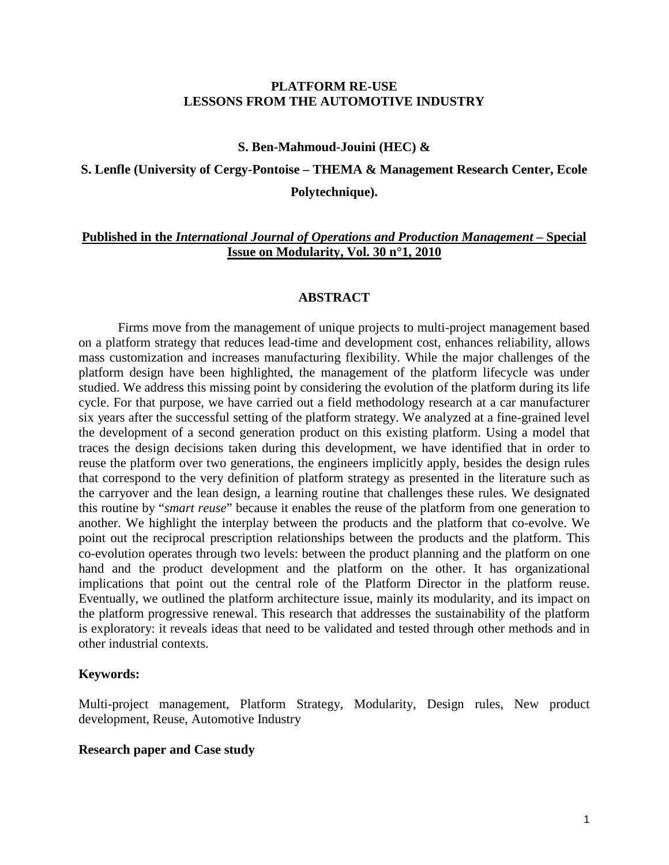### **PLATFORM RE-USE LESSONS FROM THE AUTOMOTIVE INDUSTRY**

## **S. Ben-Mahmoud-Jouini (HEC) &**

# **S. Lenfle (University of Cergy-Pontoise – THEMA & Management Research Center, Ecole Polytechnique).**

## **Published in the** *International Journal of Operations and Production Management* **– Special Issue on Modularity, Vol. 30 n°1, 2010**

### **ABSTRACT**

Firms move from the management of unique projects to multi-project management based on a platform strategy that reduces lead-time and development cost, enhances reliability, allows mass customization and increases manufacturing flexibility. While the major challenges of the platform design have been highlighted, the management of the platform lifecycle was under studied. We address this missing point by considering the evolution of the platform during its life cycle. For that purpose, we have carried out a field methodology research at a car manufacturer six years after the successful setting of the platform strategy. We analyzed at a fine-grained level the development of a second generation product on this existing platform. Using a model that traces the design decisions taken during this development, we have identified that in order to reuse the platform over two generations, the engineers implicitly apply, besides the design rules that correspond to the very definition of platform strategy as presented in the literature such as the carryover and the lean design, a learning routine that challenges these rules. We designated this routine by "*smart reuse*" because it enables the reuse of the platform from one generation to another. We highlight the interplay between the products and the platform that co-evolve. We point out the reciprocal prescription relationships between the products and the platform. This co-evolution operates through two levels: between the product planning and the platform on one hand and the product development and the platform on the other. It has organizational implications that point out the central role of the Platform Director in the platform reuse. Eventually, we outlined the platform architecture issue, mainly its modularity, and its impact on the platform progressive renewal. This research that addresses the sustainability of the platform is exploratory: it reveals ideas that need to be validated and tested through other methods and in other industrial contexts.

## **Keywords:**

Multi-project management, Platform Strategy, Modularity, Design rules, New product development, Reuse, Automotive Industry

### **Research paper and Case study**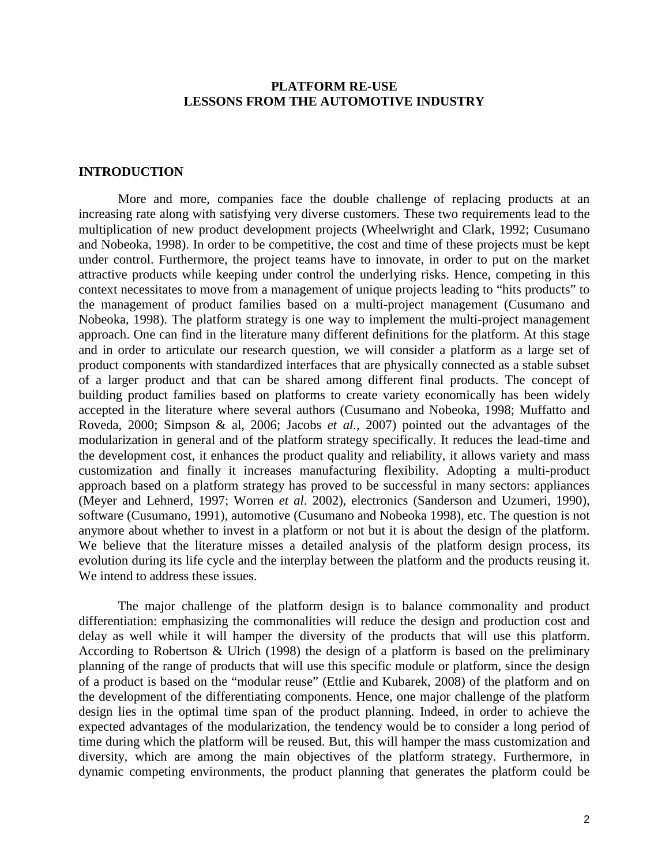## **PLATFORM RE-USE LESSONS FROM THE AUTOMOTIVE INDUSTRY**

### **INTRODUCTION**

More and more, companies face the double challenge of replacing products at an increasing rate along with satisfying very diverse customers. These two requirements lead to the multiplication of new product development projects (Wheelwright and Clark, 1992; Cusumano and Nobeoka, 1998). In order to be competitive, the cost and time of these projects must be kept under control. Furthermore, the project teams have to innovate, in order to put on the market attractive products while keeping under control the underlying risks. Hence, competing in this context necessitates to move from a management of unique projects leading to "hits products" to the management of product families based on a multi-project management (Cusumano and Nobeoka, 1998). The platform strategy is one way to implement the multi-project management approach. One can find in the literature many different definitions for the platform. At this stage and in order to articulate our research question, we will consider a platform as a large set of product components with standardized interfaces that are physically connected as a stable subset of a larger product and that can be shared among different final products. The concept of building product families based on platforms to create variety economically has been widely accepted in the literature where several authors (Cusumano and Nobeoka, 1998; Muffatto and Roveda, 2000; Simpson & al, 2006; Jacobs *et al.,* 2007) pointed out the advantages of the modularization in general and of the platform strategy specifically. It reduces the lead-time and the development cost, it enhances the product quality and reliability, it allows variety and mass customization and finally it increases manufacturing flexibility. Adopting a multi-product approach based on a platform strategy has proved to be successful in many sectors: appliances (Meyer and Lehnerd, 1997; Worren *et al*. 2002), electronics (Sanderson and Uzumeri, 1990), software (Cusumano, 1991), automotive (Cusumano and Nobeoka 1998), etc. The question is not anymore about whether to invest in a platform or not but it is about the design of the platform. We believe that the literature misses a detailed analysis of the platform design process, its evolution during its life cycle and the interplay between the platform and the products reusing it. We intend to address these issues.

The major challenge of the platform design is to balance commonality and product differentiation: emphasizing the commonalities will reduce the design and production cost and delay as well while it will hamper the diversity of the products that will use this platform. According to Robertson & Ulrich (1998) the design of a platform is based on the preliminary planning of the range of products that will use this specific module or platform, since the design of a product is based on the "modular reuse" (Ettlie and Kubarek, 2008) of the platform and on the development of the differentiating components. Hence, one major challenge of the platform design lies in the optimal time span of the product planning. Indeed, in order to achieve the expected advantages of the modularization, the tendency would be to consider a long period of time during which the platform will be reused. But, this will hamper the mass customization and diversity, which are among the main objectives of the platform strategy. Furthermore, in dynamic competing environments, the product planning that generates the platform could be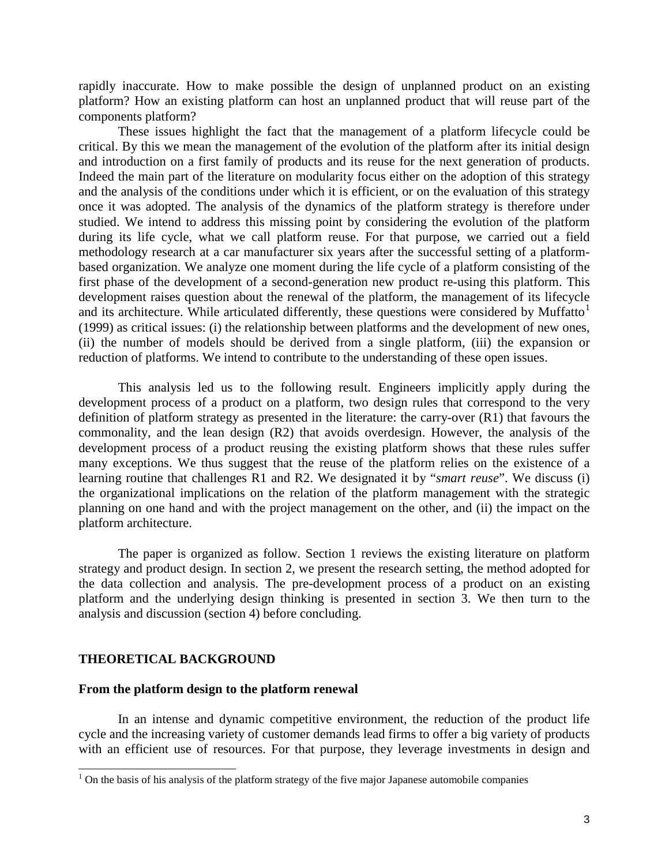rapidly inaccurate. How to make possible the design of unplanned product on an existing platform? How an existing platform can host an unplanned product that will reuse part of the components platform?

These issues highlight the fact that the management of a platform lifecycle could be critical. By this we mean the management of the evolution of the platform after its initial design and introduction on a first family of products and its reuse for the next generation of products. Indeed the main part of the literature on modularity focus either on the adoption of this strategy and the analysis of the conditions under which it is efficient, or on the evaluation of this strategy once it was adopted. The analysis of the dynamics of the platform strategy is therefore under studied. We intend to address this missing point by considering the evolution of the platform during its life cycle, what we call platform reuse. For that purpose, we carried out a field methodology research at a car manufacturer six years after the successful setting of a platformbased organization. We analyze one moment during the life cycle of a platform consisting of the first phase of the development of a second-generation new product re-using this platform. This development raises question about the renewal of the platform, the management of its lifecycle and its architecture. While articulated differently, these questions were considered by  $Muffatto<sup>1</sup>$  $Muffatto<sup>1</sup>$  $Muffatto<sup>1</sup>$ (1999) as critical issues: (i) the relationship between platforms and the development of new ones, (ii) the number of models should be derived from a single platform, (iii) the expansion or reduction of platforms. We intend to contribute to the understanding of these open issues.

This analysis led us to the following result. Engineers implicitly apply during the development process of a product on a platform, two design rules that correspond to the very definition of platform strategy as presented in the literature: the carry-over (R1) that favours the commonality, and the lean design (R2) that avoids overdesign. However, the analysis of the development process of a product reusing the existing platform shows that these rules suffer many exceptions. We thus suggest that the reuse of the platform relies on the existence of a learning routine that challenges R1 and R2. We designated it by "*smart reuse*". We discuss (i) the organizational implications on the relation of the platform management with the strategic planning on one hand and with the project management on the other, and (ii) the impact on the platform architecture.

The paper is organized as follow. Section 1 reviews the existing literature on platform strategy and product design. In section 2, we present the research setting, the method adopted for the data collection and analysis. The pre-development process of a product on an existing platform and the underlying design thinking is presented in section 3. We then turn to the analysis and discussion (section 4) before concluding.

### **THEORETICAL BACKGROUND**

#### **From the platform design to the platform renewal**

In an intense and dynamic competitive environment, the reduction of the product life cycle and the increasing variety of customer demands lead firms to offer a big variety of products with an efficient use of resources. For that purpose, they leverage investments in design and

<span id="page-2-0"></span><sup>&</sup>lt;sup>1</sup> On the basis of his analysis of the platform strategy of the five major Japanese automobile companies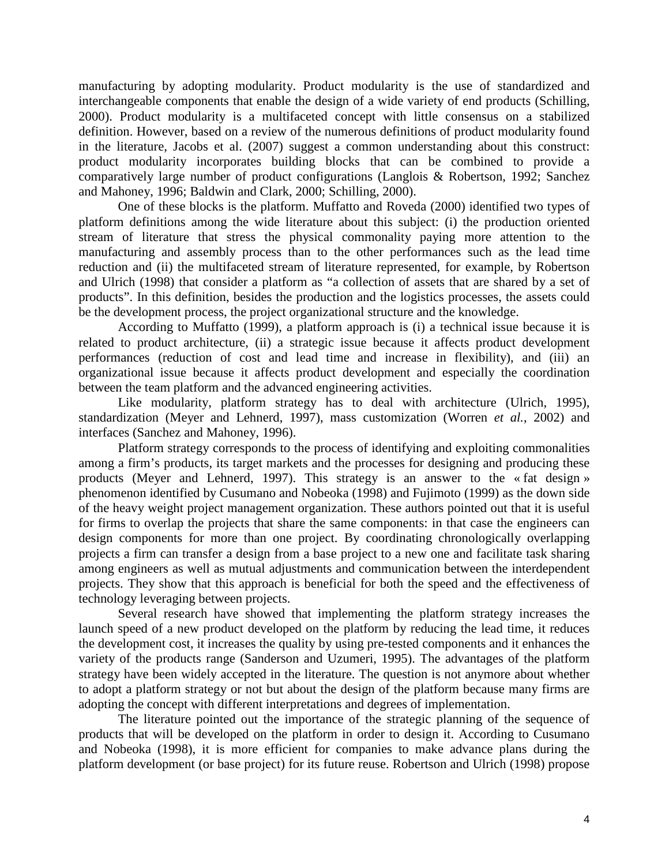manufacturing by adopting modularity. Product modularity is the use of standardized and interchangeable components that enable the design of a wide variety of end products (Schilling, 2000). Product modularity is a multifaceted concept with little consensus on a stabilized definition. However, based on a review of the numerous definitions of product modularity found in the literature, Jacobs et al. (2007) suggest a common understanding about this construct: product modularity incorporates building blocks that can be combined to provide a comparatively large number of product configurations (Langlois & Robertson, 1992; Sanchez and Mahoney, 1996; Baldwin and Clark, 2000; Schilling, 2000).

One of these blocks is the platform. Muffatto and Roveda (2000) identified two types of platform definitions among the wide literature about this subject: (i) the production oriented stream of literature that stress the physical commonality paying more attention to the manufacturing and assembly process than to the other performances such as the lead time reduction and (ii) the multifaceted stream of literature represented, for example, by Robertson and Ulrich (1998) that consider a platform as "a collection of assets that are shared by a set of products". In this definition, besides the production and the logistics processes, the assets could be the development process, the project organizational structure and the knowledge.

According to Muffatto (1999), a platform approach is (i) a technical issue because it is related to product architecture, (ii) a strategic issue because it affects product development performances (reduction of cost and lead time and increase in flexibility), and (iii) an organizational issue because it affects product development and especially the coordination between the team platform and the advanced engineering activities.

Like modularity, platform strategy has to deal with architecture (Ulrich, 1995), standardization (Meyer and Lehnerd, 1997), mass customization (Worren *et al.*, 2002) and interfaces (Sanchez and Mahoney, 1996).

Platform strategy corresponds to the process of identifying and exploiting commonalities among a firm's products, its target markets and the processes for designing and producing these products (Meyer and Lehnerd, 1997). This strategy is an answer to the « fat design » phenomenon identified by Cusumano and Nobeoka (1998) and Fujimoto (1999) as the down side of the heavy weight project management organization. These authors pointed out that it is useful for firms to overlap the projects that share the same components: in that case the engineers can design components for more than one project. By coordinating chronologically overlapping projects a firm can transfer a design from a base project to a new one and facilitate task sharing among engineers as well as mutual adjustments and communication between the interdependent projects. They show that this approach is beneficial for both the speed and the effectiveness of technology leveraging between projects.

Several research have showed that implementing the platform strategy increases the launch speed of a new product developed on the platform by reducing the lead time, it reduces the development cost, it increases the quality by using pre-tested components and it enhances the variety of the products range (Sanderson and Uzumeri, 1995). The advantages of the platform strategy have been widely accepted in the literature. The question is not anymore about whether to adopt a platform strategy or not but about the design of the platform because many firms are adopting the concept with different interpretations and degrees of implementation.

The literature pointed out the importance of the strategic planning of the sequence of products that will be developed on the platform in order to design it. According to Cusumano and Nobeoka (1998), it is more efficient for companies to make advance plans during the platform development (or base project) for its future reuse. Robertson and Ulrich (1998) propose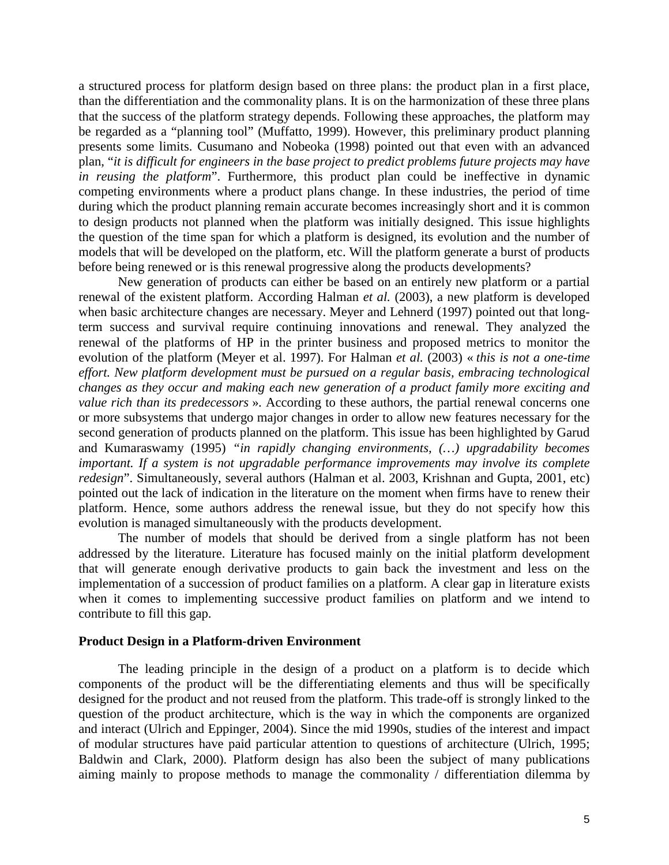a structured process for platform design based on three plans: the product plan in a first place, than the differentiation and the commonality plans. It is on the harmonization of these three plans that the success of the platform strategy depends. Following these approaches, the platform may be regarded as a "planning tool" (Muffatto, 1999). However, this preliminary product planning presents some limits. Cusumano and Nobeoka (1998) pointed out that even with an advanced plan, "*it is difficult for engineers in the base project to predict problems future projects may have in reusing the platform*". Furthermore, this product plan could be ineffective in dynamic competing environments where a product plans change. In these industries, the period of time during which the product planning remain accurate becomes increasingly short and it is common to design products not planned when the platform was initially designed. This issue highlights the question of the time span for which a platform is designed, its evolution and the number of models that will be developed on the platform, etc. Will the platform generate a burst of products before being renewed or is this renewal progressive along the products developments?

New generation of products can either be based on an entirely new platform or a partial renewal of the existent platform. According Halman *et al.* (2003), a new platform is developed when basic architecture changes are necessary. Meyer and Lehnerd (1997) pointed out that longterm success and survival require continuing innovations and renewal. They analyzed the renewal of the platforms of HP in the printer business and proposed metrics to monitor the evolution of the platform (Meyer et al. 1997). For Halman *et al.* (2003) « *this is not a one-time effort. New platform development must be pursued on a regular basis, embracing technological changes as they occur and making each new generation of a product family more exciting and value rich than its predecessors* ». According to these authors, the partial renewal concerns one or more subsystems that undergo major changes in order to allow new features necessary for the second generation of products planned on the platform. This issue has been highlighted by Garud and Kumaraswamy (1995) *"in rapidly changing environments, (…) upgradability becomes important. If a system is not upgradable performance improvements may involve its complete redesign*". Simultaneously, several authors (Halman et al. 2003, Krishnan and Gupta, 2001, etc) pointed out the lack of indication in the literature on the moment when firms have to renew their platform. Hence, some authors address the renewal issue, but they do not specify how this evolution is managed simultaneously with the products development.

The number of models that should be derived from a single platform has not been addressed by the literature. Literature has focused mainly on the initial platform development that will generate enough derivative products to gain back the investment and less on the implementation of a succession of product families on a platform. A clear gap in literature exists when it comes to implementing successive product families on platform and we intend to contribute to fill this gap.

### **Product Design in a Platform-driven Environment**

The leading principle in the design of a product on a platform is to decide which components of the product will be the differentiating elements and thus will be specifically designed for the product and not reused from the platform. This trade-off is strongly linked to the question of the product architecture, which is the way in which the components are organized and interact (Ulrich and Eppinger, 2004). Since the mid 1990s, studies of the interest and impact of modular structures have paid particular attention to questions of architecture (Ulrich, 1995; Baldwin and Clark, 2000). Platform design has also been the subject of many publications aiming mainly to propose methods to manage the commonality / differentiation dilemma by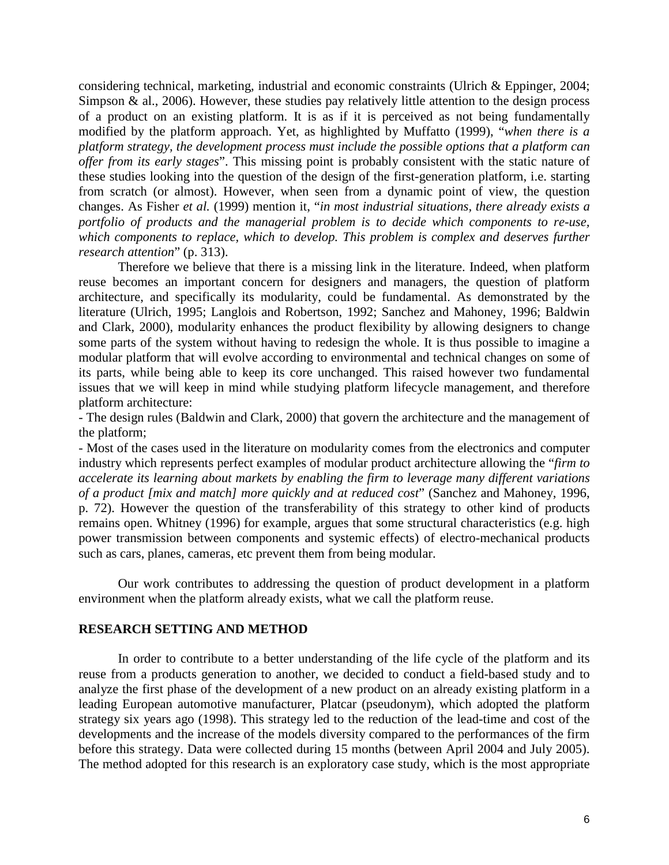considering technical, marketing, industrial and economic constraints (Ulrich & Eppinger, 2004; Simpson & al., 2006). However, these studies pay relatively little attention to the design process of a product on an existing platform. It is as if it is perceived as not being fundamentally modified by the platform approach. Yet, as highlighted by Muffatto (1999), "*when there is a platform strategy, the development process must include the possible options that a platform can offer from its early stages*". This missing point is probably consistent with the static nature of these studies looking into the question of the design of the first-generation platform, i.e. starting from scratch (or almost). However, when seen from a dynamic point of view, the question changes. As Fisher *et al.* (1999) mention it, "*in most industrial situations, there already exists a portfolio of products and the managerial problem is to decide which components to re-use,*  which components to replace, which to develop. This problem is complex and deserves further *research attention*" (p. 313).

Therefore we believe that there is a missing link in the literature. Indeed, when platform reuse becomes an important concern for designers and managers, the question of platform architecture, and specifically its modularity, could be fundamental. As demonstrated by the literature (Ulrich, 1995; Langlois and Robertson, 1992; Sanchez and Mahoney, 1996; Baldwin and Clark, 2000), modularity enhances the product flexibility by allowing designers to change some parts of the system without having to redesign the whole. It is thus possible to imagine a modular platform that will evolve according to environmental and technical changes on some of its parts, while being able to keep its core unchanged. This raised however two fundamental issues that we will keep in mind while studying platform lifecycle management, and therefore platform architecture:

- The design rules (Baldwin and Clark, 2000) that govern the architecture and the management of the platform;

- Most of the cases used in the literature on modularity comes from the electronics and computer industry which represents perfect examples of modular product architecture allowing the "*firm to accelerate its learning about markets by enabling the firm to leverage many different variations of a product [mix and match] more quickly and at reduced cost*" (Sanchez and Mahoney, 1996, p. 72). However the question of the transferability of this strategy to other kind of products remains open. Whitney (1996) for example, argues that some structural characteristics (e.g. high power transmission between components and systemic effects) of electro-mechanical products such as cars, planes, cameras, etc prevent them from being modular.

Our work contributes to addressing the question of product development in a platform environment when the platform already exists, what we call the platform reuse.

## **RESEARCH SETTING AND METHOD**

In order to contribute to a better understanding of the life cycle of the platform and its reuse from a products generation to another, we decided to conduct a field-based study and to analyze the first phase of the development of a new product on an already existing platform in a leading European automotive manufacturer, Platcar (pseudonym), which adopted the platform strategy six years ago (1998). This strategy led to the reduction of the lead-time and cost of the developments and the increase of the models diversity compared to the performances of the firm before this strategy. Data were collected during 15 months (between April 2004 and July 2005). The method adopted for this research is an exploratory case study, which is the most appropriate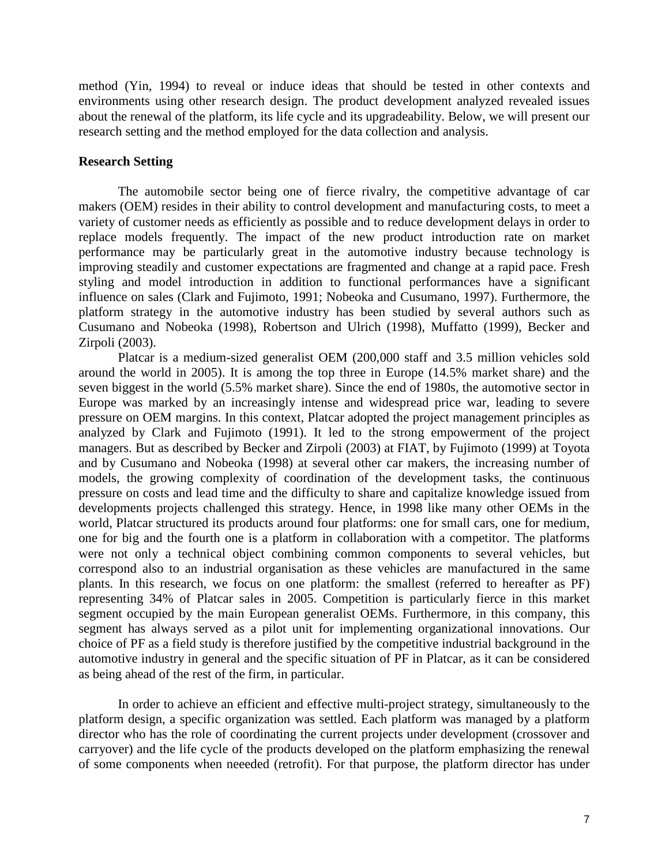method (Yin, 1994) to reveal or induce ideas that should be tested in other contexts and environments using other research design. The product development analyzed revealed issues about the renewal of the platform, its life cycle and its upgradeability. Below, we will present our research setting and the method employed for the data collection and analysis.

## **Research Setting**

The automobile sector being one of fierce rivalry, the competitive advantage of car makers (OEM) resides in their ability to control development and manufacturing costs, to meet a variety of customer needs as efficiently as possible and to reduce development delays in order to replace models frequently. The impact of the new product introduction rate on market performance may be particularly great in the automotive industry because technology is improving steadily and customer expectations are fragmented and change at a rapid pace. Fresh styling and model introduction in addition to functional performances have a significant influence on sales (Clark and Fujimoto, 1991; Nobeoka and Cusumano, 1997). Furthermore, the platform strategy in the automotive industry has been studied by several authors such as Cusumano and Nobeoka (1998), Robertson and Ulrich (1998), Muffatto (1999), Becker and Zirpoli (2003).

Platcar is a medium-sized generalist OEM (200,000 staff and 3.5 million vehicles sold around the world in 2005). It is among the top three in Europe (14.5% market share) and the seven biggest in the world (5.5% market share). Since the end of 1980s, the automotive sector in Europe was marked by an increasingly intense and widespread price war, leading to severe pressure on OEM margins. In this context, Platcar adopted the project management principles as analyzed by Clark and Fujimoto (1991). It led to the strong empowerment of the project managers. But as described by Becker and Zirpoli (2003) at FIAT, by Fujimoto (1999) at Toyota and by Cusumano and Nobeoka (1998) at several other car makers, the increasing number of models, the growing complexity of coordination of the development tasks, the continuous pressure on costs and lead time and the difficulty to share and capitalize knowledge issued from developments projects challenged this strategy. Hence, in 1998 like many other OEMs in the world, Platcar structured its products around four platforms: one for small cars, one for medium, one for big and the fourth one is a platform in collaboration with a competitor. The platforms were not only a technical object combining common components to several vehicles, but correspond also to an industrial organisation as these vehicles are manufactured in the same plants. In this research, we focus on one platform: the smallest (referred to hereafter as PF) representing 34% of Platcar sales in 2005. Competition is particularly fierce in this market segment occupied by the main European generalist OEMs. Furthermore, in this company, this segment has always served as a pilot unit for implementing organizational innovations. Our choice of PF as a field study is therefore justified by the competitive industrial background in the automotive industry in general and the specific situation of PF in Platcar, as it can be considered as being ahead of the rest of the firm, in particular.

In order to achieve an efficient and effective multi-project strategy, simultaneously to the platform design, a specific organization was settled. Each platform was managed by a platform director who has the role of coordinating the current projects under development (crossover and carryover) and the life cycle of the products developed on the platform emphasizing the renewal of some components when neeeded (retrofit). For that purpose, the platform director has under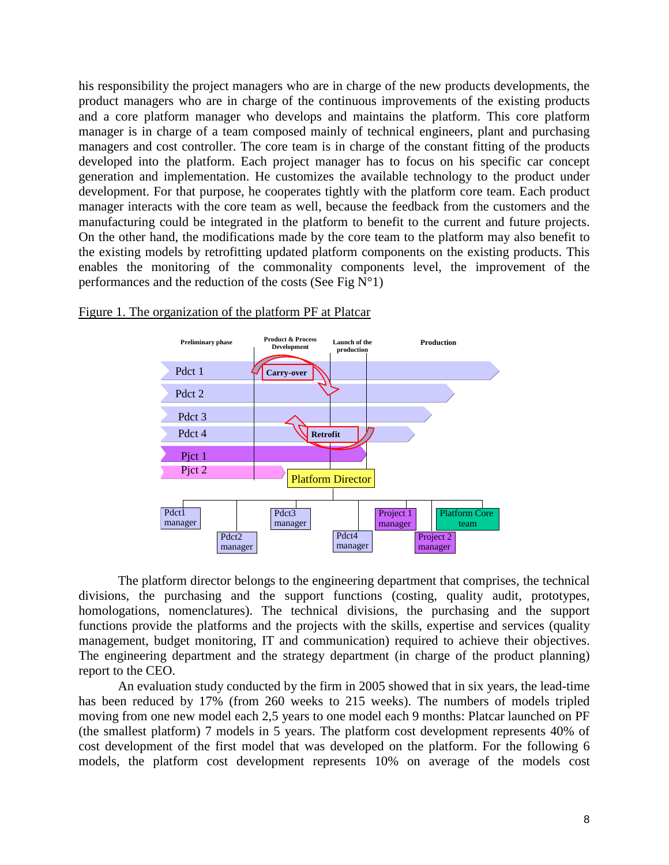his responsibility the project managers who are in charge of the new products developments, the product managers who are in charge of the continuous improvements of the existing products and a core platform manager who develops and maintains the platform. This core platform manager is in charge of a team composed mainly of technical engineers, plant and purchasing managers and cost controller. The core team is in charge of the constant fitting of the products developed into the platform. Each project manager has to focus on his specific car concept generation and implementation. He customizes the available technology to the product under development. For that purpose, he cooperates tightly with the platform core team. Each product manager interacts with the core team as well, because the feedback from the customers and the manufacturing could be integrated in the platform to benefit to the current and future projects. On the other hand, the modifications made by the core team to the platform may also benefit to the existing models by retrofitting updated platform components on the existing products. This enables the monitoring of the commonality components level, the improvement of the performances and the reduction of the costs (See Fig  $N^{\circ}$ 1)



### Figure 1. The organization of the platform PF at Platcar

The platform director belongs to the engineering department that comprises, the technical divisions, the purchasing and the support functions (costing, quality audit, prototypes, homologations, nomenclatures). The technical divisions, the purchasing and the support functions provide the platforms and the projects with the skills, expertise and services (quality management, budget monitoring, IT and communication) required to achieve their objectives. The engineering department and the strategy department (in charge of the product planning) report to the CEO.

An evaluation study conducted by the firm in 2005 showed that in six years, the lead-time has been reduced by 17% (from 260 weeks to 215 weeks). The numbers of models tripled moving from one new model each 2,5 years to one model each 9 months: Platcar launched on PF (the smallest platform) 7 models in 5 years. The platform cost development represents 40% of cost development of the first model that was developed on the platform. For the following 6 models, the platform cost development represents 10% on average of the models cost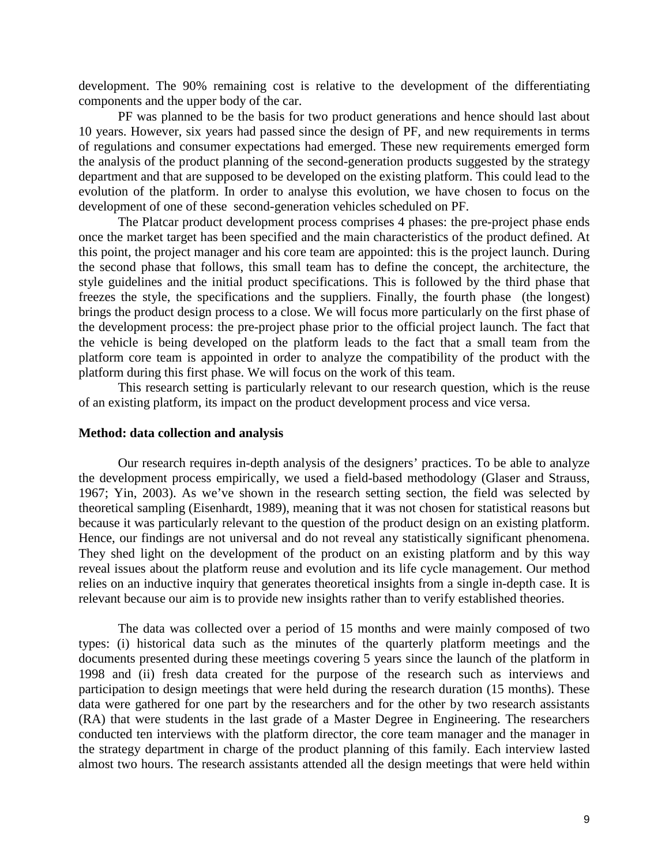development. The 90% remaining cost is relative to the development of the differentiating components and the upper body of the car.

PF was planned to be the basis for two product generations and hence should last about 10 years. However, six years had passed since the design of PF, and new requirements in terms of regulations and consumer expectations had emerged. These new requirements emerged form the analysis of the product planning of the second-generation products suggested by the strategy department and that are supposed to be developed on the existing platform. This could lead to the evolution of the platform. In order to analyse this evolution, we have chosen to focus on the development of one of these second-generation vehicles scheduled on PF.

The Platcar product development process comprises 4 phases: the pre-project phase ends once the market target has been specified and the main characteristics of the product defined. At this point, the project manager and his core team are appointed: this is the project launch. During the second phase that follows, this small team has to define the concept, the architecture, the style guidelines and the initial product specifications. This is followed by the third phase that freezes the style, the specifications and the suppliers. Finally, the fourth phase (the longest) brings the product design process to a close. We will focus more particularly on the first phase of the development process: the pre-project phase prior to the official project launch. The fact that the vehicle is being developed on the platform leads to the fact that a small team from the platform core team is appointed in order to analyze the compatibility of the product with the platform during this first phase. We will focus on the work of this team.

This research setting is particularly relevant to our research question, which is the reuse of an existing platform, its impact on the product development process and vice versa.

### **Method: data collection and analysis**

Our research requires in-depth analysis of the designers' practices. To be able to analyze the development process empirically, we used a field-based methodology (Glaser and Strauss, 1967; Yin, 2003). As we've shown in the research setting section, the field was selected by theoretical sampling (Eisenhardt, 1989), meaning that it was not chosen for statistical reasons but because it was particularly relevant to the question of the product design on an existing platform. Hence, our findings are not universal and do not reveal any statistically significant phenomena. They shed light on the development of the product on an existing platform and by this way reveal issues about the platform reuse and evolution and its life cycle management. Our method relies on an inductive inquiry that generates theoretical insights from a single in-depth case. It is relevant because our aim is to provide new insights rather than to verify established theories.

The data was collected over a period of 15 months and were mainly composed of two types: (i) historical data such as the minutes of the quarterly platform meetings and the documents presented during these meetings covering 5 years since the launch of the platform in 1998 and (ii) fresh data created for the purpose of the research such as interviews and participation to design meetings that were held during the research duration (15 months). These data were gathered for one part by the researchers and for the other by two research assistants (RA) that were students in the last grade of a Master Degree in Engineering. The researchers conducted ten interviews with the platform director, the core team manager and the manager in the strategy department in charge of the product planning of this family. Each interview lasted almost two hours. The research assistants attended all the design meetings that were held within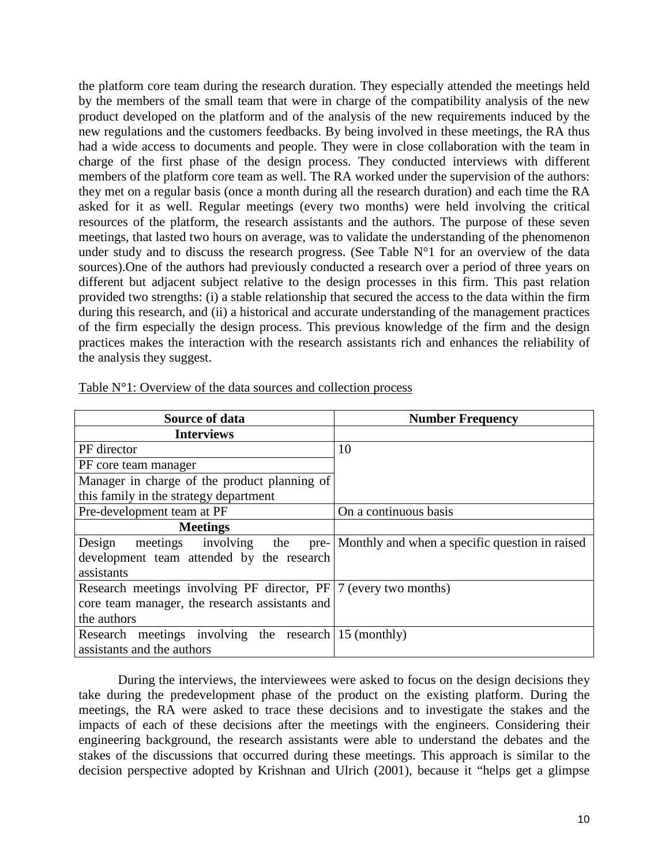the platform core team during the research duration. They especially attended the meetings held by the members of the small team that were in charge of the compatibility analysis of the new product developed on the platform and of the analysis of the new requirements induced by the new regulations and the customers feedbacks. By being involved in these meetings, the RA thus had a wide access to documents and people. They were in close collaboration with the team in charge of the first phase of the design process. They conducted interviews with different members of the platform core team as well. The RA worked under the supervision of the authors: they met on a regular basis (once a month during all the research duration) and each time the RA asked for it as well. Regular meetings (every two months) were held involving the critical resources of the platform, the research assistants and the authors. The purpose of these seven meetings, that lasted two hours on average, was to validate the understanding of the phenomenon under study and to discuss the research progress. (See Table  $N^{\circ}1$  for an overview of the data sources).One of the authors had previously conducted a research over a period of three years on different but adjacent subject relative to the design processes in this firm. This past relation provided two strengths: (i) a stable relationship that secured the access to the data within the firm during this research, and (ii) a historical and accurate understanding of the management practices of the firm especially the design process. This previous knowledge of the firm and the design practices makes the interaction with the research assistants rich and enhances the reliability of the analysis they suggest.

| <b>Source of data</b>                                              | <b>Number Frequency</b>                             |
|--------------------------------------------------------------------|-----------------------------------------------------|
| <b>Interviews</b>                                                  |                                                     |
| PF director                                                        | 10                                                  |
| PF core team manager                                               |                                                     |
| Manager in charge of the product planning of                       |                                                     |
| this family in the strategy department                             |                                                     |
| Pre-development team at PF                                         | On a continuous basis                               |
| <b>Meetings</b>                                                    |                                                     |
| Design<br>meetings involving the                                   | pre- Monthly and when a specific question in raised |
| development team attended by the research                          |                                                     |
| assistants                                                         |                                                     |
| Research meetings involving PF director, $PF/7$ (every two months) |                                                     |
| core team manager, the research assistants and                     |                                                     |
| the authors                                                        |                                                     |
| Research meetings involving the research 15 (monthly)              |                                                     |
| assistants and the authors                                         |                                                     |

Table N°1: Overview of the data sources and collection process

During the interviews, the interviewees were asked to focus on the design decisions they take during the predevelopment phase of the product on the existing platform. During the meetings, the RA were asked to trace these decisions and to investigate the stakes and the impacts of each of these decisions after the meetings with the engineers. Considering their engineering background, the research assistants were able to understand the debates and the stakes of the discussions that occurred during these meetings. This approach is similar to the decision perspective adopted by Krishnan and Ulrich (2001), because it "helps get a glimpse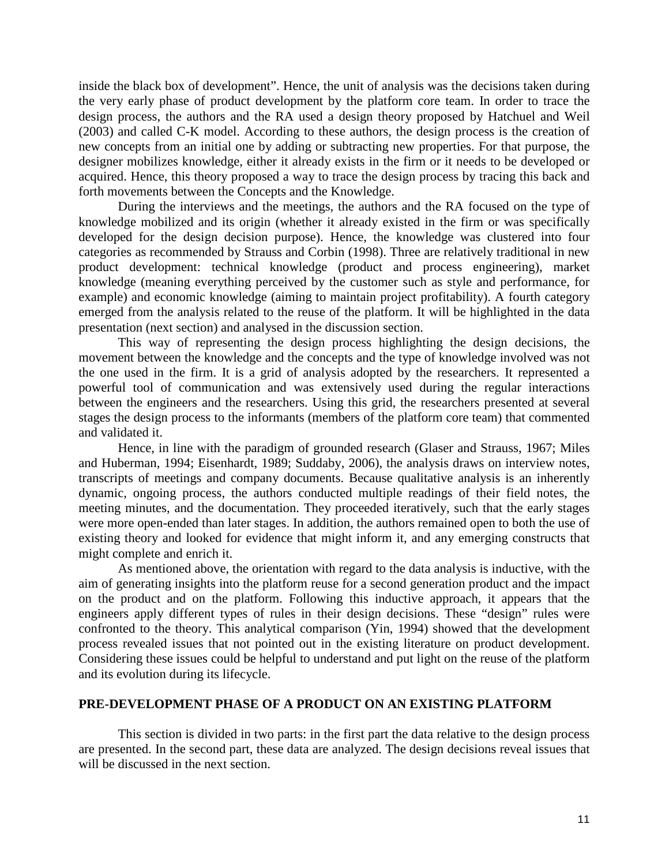inside the black box of development". Hence, the unit of analysis was the decisions taken during the very early phase of product development by the platform core team. In order to trace the design process, the authors and the RA used a design theory proposed by Hatchuel and Weil (2003) and called C-K model. According to these authors, the design process is the creation of new concepts from an initial one by adding or subtracting new properties. For that purpose, the designer mobilizes knowledge, either it already exists in the firm or it needs to be developed or acquired. Hence, this theory proposed a way to trace the design process by tracing this back and forth movements between the Concepts and the Knowledge.

During the interviews and the meetings, the authors and the RA focused on the type of knowledge mobilized and its origin (whether it already existed in the firm or was specifically developed for the design decision purpose). Hence, the knowledge was clustered into four categories as recommended by Strauss and Corbin (1998). Three are relatively traditional in new product development: technical knowledge (product and process engineering), market knowledge (meaning everything perceived by the customer such as style and performance, for example) and economic knowledge (aiming to maintain project profitability). A fourth category emerged from the analysis related to the reuse of the platform. It will be highlighted in the data presentation (next section) and analysed in the discussion section.

This way of representing the design process highlighting the design decisions, the movement between the knowledge and the concepts and the type of knowledge involved was not the one used in the firm. It is a grid of analysis adopted by the researchers. It represented a powerful tool of communication and was extensively used during the regular interactions between the engineers and the researchers. Using this grid, the researchers presented at several stages the design process to the informants (members of the platform core team) that commented and validated it.

Hence, in line with the paradigm of grounded research (Glaser and Strauss, 1967; Miles and Huberman, 1994; Eisenhardt, 1989; Suddaby, 2006), the analysis draws on interview notes, transcripts of meetings and company documents. Because qualitative analysis is an inherently dynamic, ongoing process, the authors conducted multiple readings of their field notes, the meeting minutes, and the documentation. They proceeded iteratively, such that the early stages were more open-ended than later stages. In addition, the authors remained open to both the use of existing theory and looked for evidence that might inform it, and any emerging constructs that might complete and enrich it.

As mentioned above, the orientation with regard to the data analysis is inductive, with the aim of generating insights into the platform reuse for a second generation product and the impact on the product and on the platform. Following this inductive approach, it appears that the engineers apply different types of rules in their design decisions. These "design" rules were confronted to the theory. This analytical comparison (Yin, 1994) showed that the development process revealed issues that not pointed out in the existing literature on product development. Considering these issues could be helpful to understand and put light on the reuse of the platform and its evolution during its lifecycle.

### **PRE-DEVELOPMENT PHASE OF A PRODUCT ON AN EXISTING PLATFORM**

This section is divided in two parts: in the first part the data relative to the design process are presented. In the second part, these data are analyzed. The design decisions reveal issues that will be discussed in the next section.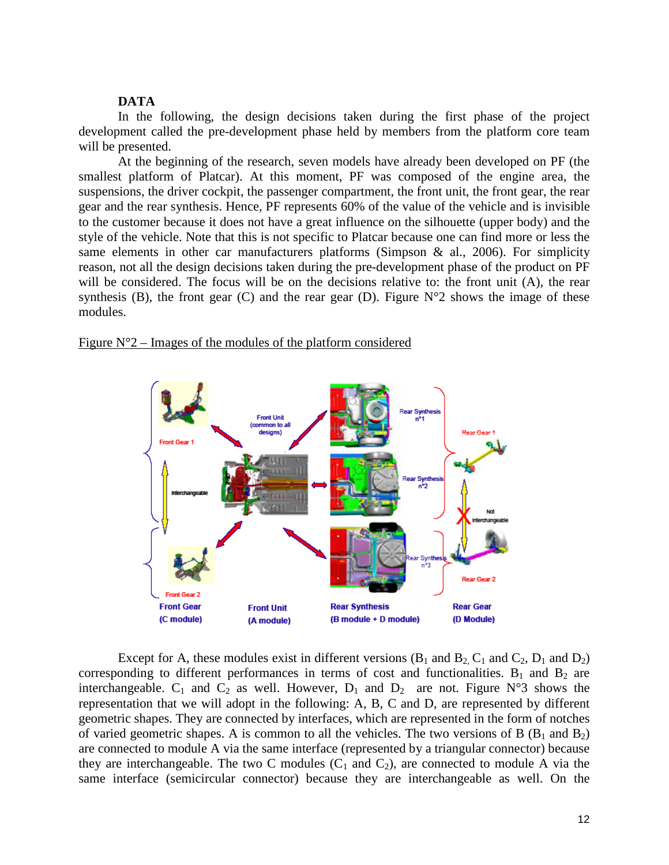### **DATA**

In the following, the design decisions taken during the first phase of the project development called the pre-development phase held by members from the platform core team will be presented.

At the beginning of the research, seven models have already been developed on PF (the smallest platform of Platcar). At this moment, PF was composed of the engine area, the suspensions, the driver cockpit, the passenger compartment, the front unit, the front gear, the rear gear and the rear synthesis. Hence, PF represents 60% of the value of the vehicle and is invisible to the customer because it does not have a great influence on the silhouette (upper body) and the style of the vehicle. Note that this is not specific to Platcar because one can find more or less the same elements in other car manufacturers platforms (Simpson  $\&$  al., 2006). For simplicity reason, not all the design decisions taken during the pre-development phase of the product on PF will be considered. The focus will be on the decisions relative to: the front unit (A), the rear synthesis (B), the front gear (C) and the rear gear (D). Figure  $N^{\circ}2$  shows the image of these modules.





Except for A, these modules exist in different versions  $(B_1 \text{ and } B_2, C_1 \text{ and } C_2, D_1 \text{ and } D_2)$ corresponding to different performances in terms of cost and functionalities.  $B_1$  and  $B_2$  are interchangeable.  $C_1$  and  $C_2$  as well. However,  $D_1$  and  $D_2$  are not. Figure N°3 shows the representation that we will adopt in the following: A, B, C and D, are represented by different geometric shapes. They are connected by interfaces, which are represented in the form of notches of varied geometric shapes. A is common to all the vehicles. The two versions of B  $(B_1 \text{ and } B_2)$ are connected to module A via the same interface (represented by a triangular connector) because they are interchangeable. The two C modules  $(C_1$  and  $C_2$ ), are connected to module A via the same interface (semicircular connector) because they are interchangeable as well. On the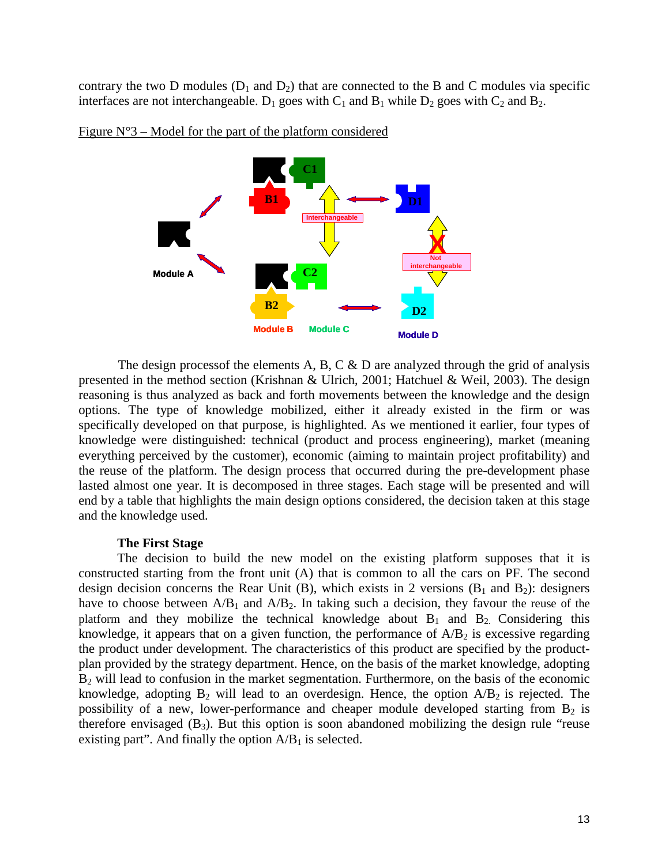contrary the two D modules  $(D_1 \text{ and } D_2)$  that are connected to the B and C modules via specific interfaces are not interchangeable.  $D_1$  goes with  $C_1$  and  $B_1$  while  $D_2$  goes with  $C_2$  and  $B_2$ .

## **Interchangeable Not interchangeable X**<br>Not **Module A Module <sup>B</sup> Module C Module D B1 B2 C1 D1 D1 D2 C2**

## Figure  $N^{\circ}3$  – Model for the part of the platform considered

The design process of the elements A, B, C  $\&$  D are analyzed through the grid of analysis presented in the method section (Krishnan & Ulrich, 2001; Hatchuel & Weil, 2003). The design reasoning is thus analyzed as back and forth movements between the knowledge and the design options. The type of knowledge mobilized, either it already existed in the firm or was specifically developed on that purpose, is highlighted. As we mentioned it earlier, four types of knowledge were distinguished: technical (product and process engineering), market (meaning everything perceived by the customer), economic (aiming to maintain project profitability) and the reuse of the platform. The design process that occurred during the pre-development phase lasted almost one year. It is decomposed in three stages. Each stage will be presented and will end by a table that highlights the main design options considered, the decision taken at this stage and the knowledge used.

### **The First Stage**

The decision to build the new model on the existing platform supposes that it is constructed starting from the front unit (A) that is common to all the cars on PF. The second design decision concerns the Rear Unit (B), which exists in 2 versions  $(B_1 \text{ and } B_2)$ : designers have to choose between  $A/B_1$  and  $A/B_2$ . In taking such a decision, they favour the reuse of the platform and they mobilize the technical knowledge about  $B_1$  and  $B_2$ . Considering this knowledge, it appears that on a given function, the performance of  $A/B_2$  is excessive regarding the product under development. The characteristics of this product are specified by the productplan provided by the strategy department. Hence, on the basis of the market knowledge, adopting B<sub>2</sub> will lead to confusion in the market segmentation. Furthermore, on the basis of the economic knowledge, adopting  $B_2$  will lead to an overdesign. Hence, the option  $A/B_2$  is rejected. The possibility of a new, lower-performance and cheaper module developed starting from  $B_2$  is therefore envisaged  $(B_3)$ . But this option is soon abandoned mobilizing the design rule "reuse" existing part". And finally the option  $A/B_1$  is selected.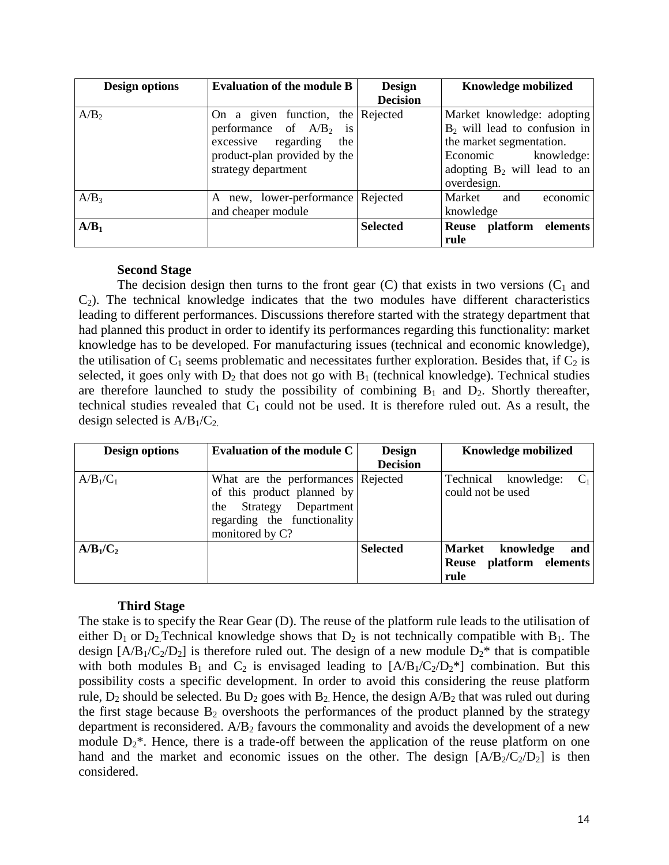| <b>Design options</b> | <b>Evaluation of the module B</b>                                                                                                                   | <b>Design</b>   | <b>Knowledge mobilized</b>                                                                                                                                           |
|-----------------------|-----------------------------------------------------------------------------------------------------------------------------------------------------|-----------------|----------------------------------------------------------------------------------------------------------------------------------------------------------------------|
|                       |                                                                                                                                                     | <b>Decision</b> |                                                                                                                                                                      |
| $A/B_2$               | On a given function, the Rejected<br>performance of $A/B_2$ is<br>excessive regarding<br>the<br>product-plan provided by the<br>strategy department |                 | Market knowledge: adopting<br>$B_2$ will lead to confusion in<br>the market segmentation.<br>Economic<br>knowledge:<br>adopting $B_2$ will lead to an<br>overdesign. |
| A/B <sub>3</sub>      | A new, lower-performance<br>and cheaper module                                                                                                      | Rejected        | Market<br>and<br>economic<br>knowledge                                                                                                                               |
| $A/B_1$               |                                                                                                                                                     | <b>Selected</b> | platform elements<br><b>Reuse</b><br>rule                                                                                                                            |

## **Second Stage**

The decision design then turns to the front gear  $(C)$  that exists in two versions  $(C_1$  and  $C_2$ ). The technical knowledge indicates that the two modules have different characteristics leading to different performances. Discussions therefore started with the strategy department that had planned this product in order to identify its performances regarding this functionality: market knowledge has to be developed. For manufacturing issues (technical and economic knowledge), the utilisation of  $C_1$  seems problematic and necessitates further exploration. Besides that, if  $C_2$  is selected, it goes only with  $D_2$  that does not go with  $B_1$  (technical knowledge). Technical studies are therefore launched to study the possibility of combining  $B_1$  and  $D_2$ . Shortly thereafter, technical studies revealed that  $C_1$  could not be used. It is therefore ruled out. As a result, the design selected is  $A/B<sub>1</sub>/C<sub>2</sub>$ .

| <b>Design options</b>            | <b>Evaluation of the module C</b>  | <b>Design</b>   | <b>Knowledge mobilized</b>        |
|----------------------------------|------------------------------------|-----------------|-----------------------------------|
|                                  |                                    | <b>Decision</b> |                                   |
| A/B <sub>1</sub> /C <sub>1</sub> | What are the performances Rejected |                 | knowledge:<br>$C_1$<br>Technical  |
|                                  | of this product planned by         |                 | could not be used                 |
|                                  | Strategy<br>Department<br>the      |                 |                                   |
|                                  | regarding the functionality        |                 |                                   |
|                                  | monitored by C?                    |                 |                                   |
| A/B <sub>1</sub> /C <sub>2</sub> |                                    | <b>Selected</b> | <b>Market</b><br>knowledge<br>and |
|                                  |                                    |                 | platform elements<br>Reuse        |
|                                  |                                    |                 | rule                              |

## **Third Stage**

The stake is to specify the Rear Gear (D). The reuse of the platform rule leads to the utilisation of either  $D_1$  or  $D_2$ . Technical knowledge shows that  $D_2$  is not technically compatible with  $B_1$ . The design  $[A/B_1/C_2/D_2]$  is therefore ruled out. The design of a new module  $D_2^*$  that is compatible with both modules  $B_1$  and  $C_2$  is envisaged leading to  $[A/B_1/C_2/D_2^*]$  combination. But this possibility costs a specific development. In order to avoid this considering the reuse platform rule,  $D_2$  should be selected. Bu  $D_2$  goes with  $B_2$ . Hence, the design  $A/B_2$  that was ruled out during the first stage because  $B_2$  overshoots the performances of the product planned by the strategy department is reconsidered.  $A/B_2$  favours the commonality and avoids the development of a new module  $D_2^*$ . Hence, there is a trade-off between the application of the reuse platform on one hand and the market and economic issues on the other. The design  $[A/B_2/C_2/D_2]$  is then considered.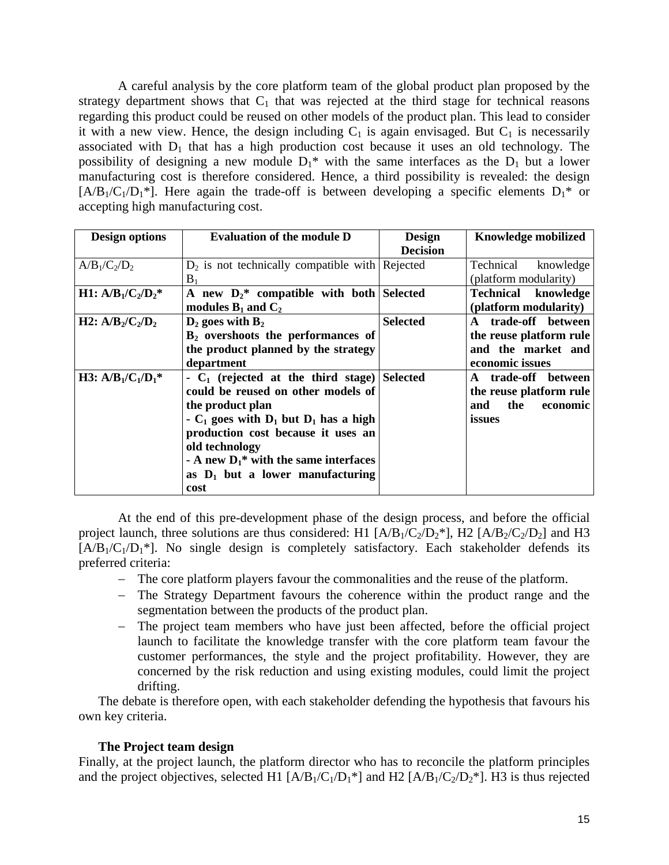A careful analysis by the core platform team of the global product plan proposed by the strategy department shows that  $C_1$  that was rejected at the third stage for technical reasons regarding this product could be reused on other models of the product plan. This lead to consider it with a new view. Hence, the design including  $C_1$  is again envisaged. But  $C_1$  is necessarily associated with  $D_1$  that has a high production cost because it uses an old technology. The possibility of designing a new module  $D_1^*$  with the same interfaces as the  $D_1$  but a lower manufacturing cost is therefore considered. Hence, a third possibility is revealed: the design  $[A/B<sub>1</sub>/C<sub>1</sub>/D<sub>1</sub>]$ . Here again the trade-off is between developing a specific elements  $D<sub>1</sub>$ <sup>\*</sup> or accepting high manufacturing cost.

| <b>Design options</b>        | <b>Evaluation of the module D</b>                 | <b>Design</b>   | <b>Knowledge mobilized</b> |
|------------------------------|---------------------------------------------------|-----------------|----------------------------|
|                              |                                                   | <b>Decision</b> |                            |
| $A/B_1/C_2/D_2$              | $D_2$ is not technically compatible with Rejected |                 | Technical knowledge        |
|                              | $B_1$                                             |                 | (platform modularity)      |
| <b>H1:</b> $A/B_1/C_2/D_2^*$ | A new $D_2^*$ compatible with both Selected       |                 | Technical knowledge        |
|                              | modules $B_1$ and $C_2$                           |                 | (platform modularity)      |
| H2: $A/B_2/C_2/D_2$          | $D_2$ goes with $B_2$                             | <b>Selected</b> | A trade-off between        |
|                              | $B2$ overshoots the performances of               |                 | the reuse platform rule    |
|                              | the product planned by the strategy               |                 | and the market and         |
|                              | department                                        |                 | economic issues            |
| <b>H3:</b> $A/B_1/C_1/D_1^*$ | - $C_1$ (rejected at the third stage)             | <b>Selected</b> | A trade-off between        |
|                              | could be reused on other models of                |                 | the reuse platform rule    |
|                              | the product plan                                  |                 | the<br>economic<br>and     |
|                              | - $C_1$ goes with $D_1$ but $D_1$ has a high      |                 | issues                     |
|                              | production cost because it uses an                |                 |                            |
|                              | old technology                                    |                 |                            |
|                              | - A new $D_1^*$ with the same interfaces          |                 |                            |
|                              | as $D_1$ but a lower manufacturing                |                 |                            |
|                              | cost                                              |                 |                            |

At the end of this pre-development phase of the design process, and before the official project launch, three solutions are thus considered: H1  $[A/B_1/C_2/D_2^*]$ , H2  $[A/B_2/C_2/D_2]$  and H3  $[A/B_1/C_1/D_1^*]$ . No single design is completely satisfactory. Each stakeholder defends its preferred criteria:

- − The core platform players favour the commonalities and the reuse of the platform.
- − The Strategy Department favours the coherence within the product range and the segmentation between the products of the product plan.
- − The project team members who have just been affected, before the official project launch to facilitate the knowledge transfer with the core platform team favour the customer performances, the style and the project profitability. However, they are concerned by the risk reduction and using existing modules, could limit the project drifting.

The debate is therefore open, with each stakeholder defending the hypothesis that favours his own key criteria.

### **The Project team design**

Finally, at the project launch, the platform director who has to reconcile the platform principles and the project objectives, selected H1  $[A/B_1/C_1/D_1^*]$  and H2  $[A/B_1/C_2/D_2^*]$ . H3 is thus rejected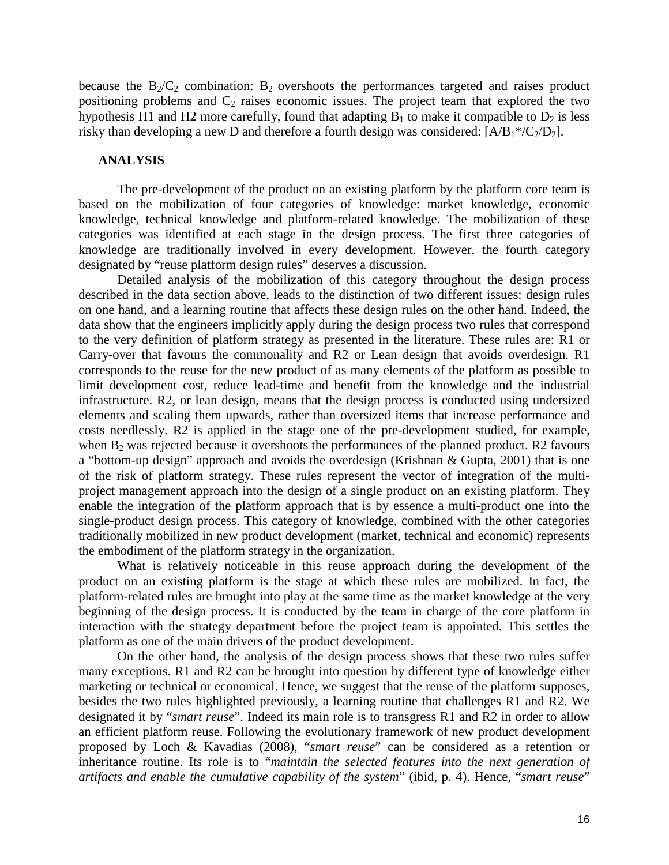because the  $B_2/C_2$  combination:  $B_2$  overshoots the performances targeted and raises product positioning problems and  $C_2$  raises economic issues. The project team that explored the two hypothesis H1 and H2 more carefully, found that adapting  $B_1$  to make it compatible to  $D_2$  is less risky than developing a new D and therefore a fourth design was considered:  $[A/B_1*/C_2/D_2]$ .

### **ANALYSIS**

The pre-development of the product on an existing platform by the platform core team is based on the mobilization of four categories of knowledge: market knowledge, economic knowledge, technical knowledge and platform-related knowledge. The mobilization of these categories was identified at each stage in the design process. The first three categories of knowledge are traditionally involved in every development. However, the fourth category designated by "reuse platform design rules" deserves a discussion.

Detailed analysis of the mobilization of this category throughout the design process described in the data section above, leads to the distinction of two different issues: design rules on one hand, and a learning routine that affects these design rules on the other hand. Indeed, the data show that the engineers implicitly apply during the design process two rules that correspond to the very definition of platform strategy as presented in the literature. These rules are: R1 or Carry-over that favours the commonality and R2 or Lean design that avoids overdesign. R1 corresponds to the reuse for the new product of as many elements of the platform as possible to limit development cost, reduce lead-time and benefit from the knowledge and the industrial infrastructure. R2, or lean design, means that the design process is conducted using undersized elements and scaling them upwards, rather than oversized items that increase performance and costs needlessly. R2 is applied in the stage one of the pre-development studied, for example, when  $B_2$  was rejected because it overshoots the performances of the planned product. R2 favours a "bottom-up design" approach and avoids the overdesign (Krishnan & Gupta, 2001) that is one of the risk of platform strategy. These rules represent the vector of integration of the multiproject management approach into the design of a single product on an existing platform. They enable the integration of the platform approach that is by essence a multi-product one into the single-product design process. This category of knowledge, combined with the other categories traditionally mobilized in new product development (market, technical and economic) represents the embodiment of the platform strategy in the organization.

What is relatively noticeable in this reuse approach during the development of the product on an existing platform is the stage at which these rules are mobilized. In fact, the platform-related rules are brought into play at the same time as the market knowledge at the very beginning of the design process. It is conducted by the team in charge of the core platform in interaction with the strategy department before the project team is appointed. This settles the platform as one of the main drivers of the product development.

On the other hand, the analysis of the design process shows that these two rules suffer many exceptions. R1 and R2 can be brought into question by different type of knowledge either marketing or technical or economical. Hence, we suggest that the reuse of the platform supposes, besides the two rules highlighted previously, a learning routine that challenges R1 and R2. We designated it by "*smart reuse*". Indeed its main role is to transgress R1 and R2 in order to allow an efficient platform reuse. Following the evolutionary framework of new product development proposed by Loch & Kavadias (2008), "*smart reuse*" can be considered as a retention or inheritance routine. Its role is to "*maintain the selected features into the next generation of artifacts and enable the cumulative capability of the system*" (ibid, p. 4). Hence, "*smart reuse*"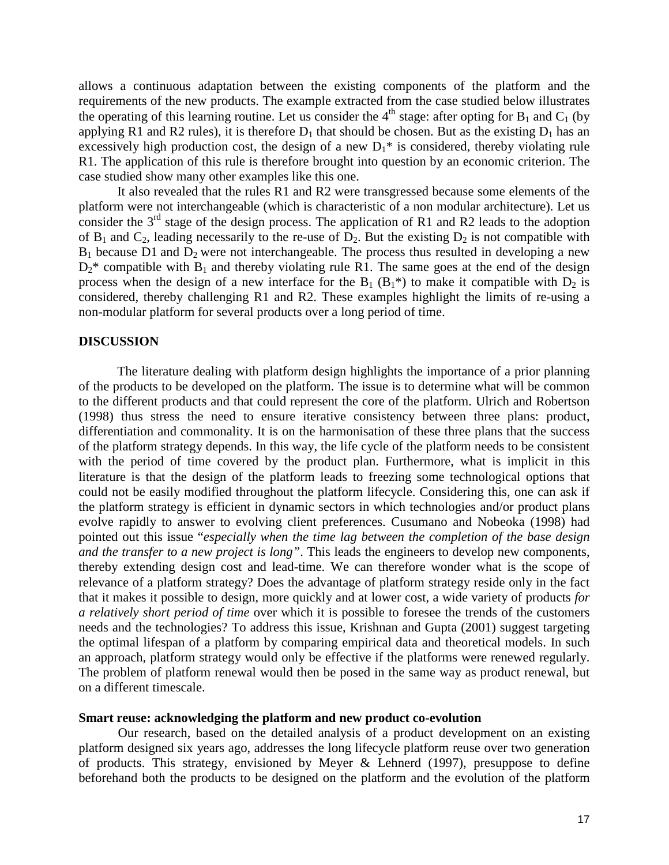allows a continuous adaptation between the existing components of the platform and the requirements of the new products. The example extracted from the case studied below illustrates the operating of this learning routine. Let us consider the  $4<sup>th</sup>$  stage: after opting for  $B_1$  and  $C_1$  (by applying R1 and R2 rules), it is therefore  $D_1$  that should be chosen. But as the existing  $D_1$  has an excessively high production cost, the design of a new  $D_1^*$  is considered, thereby violating rule R1. The application of this rule is therefore brought into question by an economic criterion. The case studied show many other examples like this one.

It also revealed that the rules R1 and R2 were transgressed because some elements of the platform were not interchangeable (which is characteristic of a non modular architecture). Let us consider the  $3<sup>rd</sup>$  stage of the design process. The application of R1 and R2 leads to the adoption of  $B_1$  and  $C_2$ , leading necessarily to the re-use of  $D_2$ . But the existing  $D_2$  is not compatible with  $B_1$  because D1 and  $D_2$  were not interchangeable. The process thus resulted in developing a new  $D_2^*$  compatible with  $B_1$  and thereby violating rule R1. The same goes at the end of the design process when the design of a new interface for the  $B_1$  ( $B_1^*$ ) to make it compatible with  $D_2$  is considered, thereby challenging R1 and R2. These examples highlight the limits of re-using a non-modular platform for several products over a long period of time.

### **DISCUSSION**

The literature dealing with platform design highlights the importance of a prior planning of the products to be developed on the platform. The issue is to determine what will be common to the different products and that could represent the core of the platform. Ulrich and Robertson (1998) thus stress the need to ensure iterative consistency between three plans: product, differentiation and commonality. It is on the harmonisation of these three plans that the success of the platform strategy depends. In this way, the life cycle of the platform needs to be consistent with the period of time covered by the product plan. Furthermore, what is implicit in this literature is that the design of the platform leads to freezing some technological options that could not be easily modified throughout the platform lifecycle. Considering this, one can ask if the platform strategy is efficient in dynamic sectors in which technologies and/or product plans evolve rapidly to answer to evolving client preferences. Cusumano and Nobeoka (1998) had pointed out this issue "*especially when the time lag between the completion of the base design and the transfer to a new project is long"*. This leads the engineers to develop new components, thereby extending design cost and lead-time. We can therefore wonder what is the scope of relevance of a platform strategy? Does the advantage of platform strategy reside only in the fact that it makes it possible to design, more quickly and at lower cost, a wide variety of products *for a relatively short period of time* over which it is possible to foresee the trends of the customers needs and the technologies? To address this issue, Krishnan and Gupta (2001) suggest targeting the optimal lifespan of a platform by comparing empirical data and theoretical models. In such an approach, platform strategy would only be effective if the platforms were renewed regularly. The problem of platform renewal would then be posed in the same way as product renewal, but on a different timescale.

### **Smart reuse: acknowledging the platform and new product co-evolution**

Our research, based on the detailed analysis of a product development on an existing platform designed six years ago, addresses the long lifecycle platform reuse over two generation of products. This strategy, envisioned by Meyer & Lehnerd (1997), presuppose to define beforehand both the products to be designed on the platform and the evolution of the platform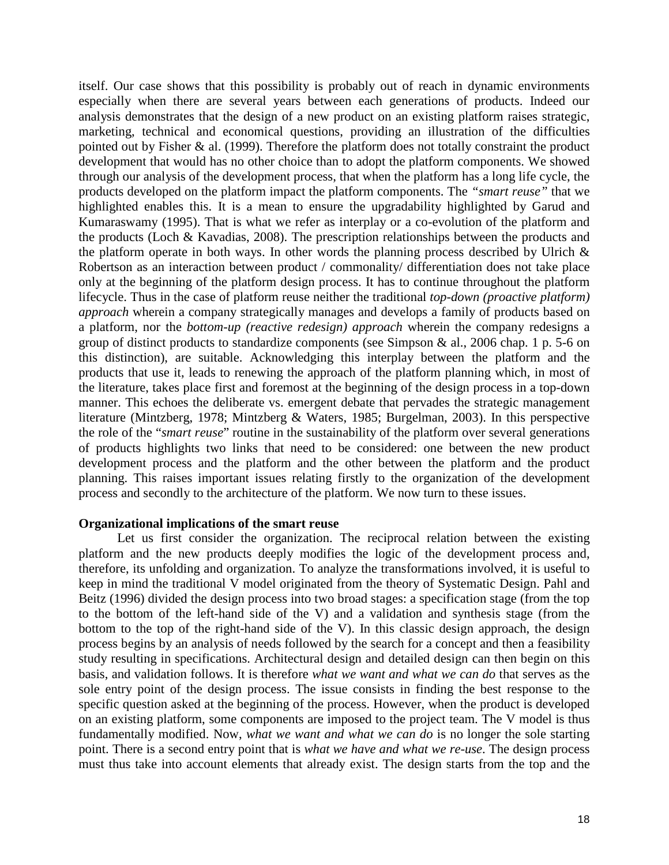itself. Our case shows that this possibility is probably out of reach in dynamic environments especially when there are several years between each generations of products. Indeed our analysis demonstrates that the design of a new product on an existing platform raises strategic, marketing, technical and economical questions, providing an illustration of the difficulties pointed out by Fisher & al. (1999). Therefore the platform does not totally constraint the product development that would has no other choice than to adopt the platform components. We showed through our analysis of the development process, that when the platform has a long life cycle, the products developed on the platform impact the platform components. The *"smart reuse"* that we highlighted enables this. It is a mean to ensure the upgradability highlighted by Garud and Kumaraswamy (1995). That is what we refer as interplay or a co-evolution of the platform and the products (Loch & Kavadias, 2008). The prescription relationships between the products and the platform operate in both ways. In other words the planning process described by Ulrich & Robertson as an interaction between product / commonality/ differentiation does not take place only at the beginning of the platform design process. It has to continue throughout the platform lifecycle. Thus in the case of platform reuse neither the traditional *top-down (proactive platform) approach* wherein a company strategically manages and develops a family of products based on a platform, nor the *bottom-up (reactive redesign) approach* wherein the company redesigns a group of distinct products to standardize components (see Simpson & al., 2006 chap. 1 p. 5-6 on this distinction), are suitable. Acknowledging this interplay between the platform and the products that use it, leads to renewing the approach of the platform planning which, in most of the literature, takes place first and foremost at the beginning of the design process in a top-down manner. This echoes the deliberate vs. emergent debate that pervades the strategic management literature (Mintzberg, 1978; Mintzberg & Waters, 1985; Burgelman, 2003). In this perspective the role of the "*smart reuse*" routine in the sustainability of the platform over several generations of products highlights two links that need to be considered: one between the new product development process and the platform and the other between the platform and the product planning. This raises important issues relating firstly to the organization of the development process and secondly to the architecture of the platform. We now turn to these issues.

### **Organizational implications of the smart reuse**

Let us first consider the organization. The reciprocal relation between the existing platform and the new products deeply modifies the logic of the development process and, therefore, its unfolding and organization. To analyze the transformations involved, it is useful to keep in mind the traditional V model originated from the theory of Systematic Design. Pahl and Beitz (1996) divided the design process into two broad stages: a specification stage (from the top to the bottom of the left-hand side of the V) and a validation and synthesis stage (from the bottom to the top of the right-hand side of the V). In this classic design approach, the design process begins by an analysis of needs followed by the search for a concept and then a feasibility study resulting in specifications. Architectural design and detailed design can then begin on this basis, and validation follows. It is therefore *what we want and what we can do* that serves as the sole entry point of the design process. The issue consists in finding the best response to the specific question asked at the beginning of the process. However, when the product is developed on an existing platform, some components are imposed to the project team. The V model is thus fundamentally modified. Now, *what we want and what we can do* is no longer the sole starting point. There is a second entry point that is *what we have and what we re-use*. The design process must thus take into account elements that already exist. The design starts from the top and the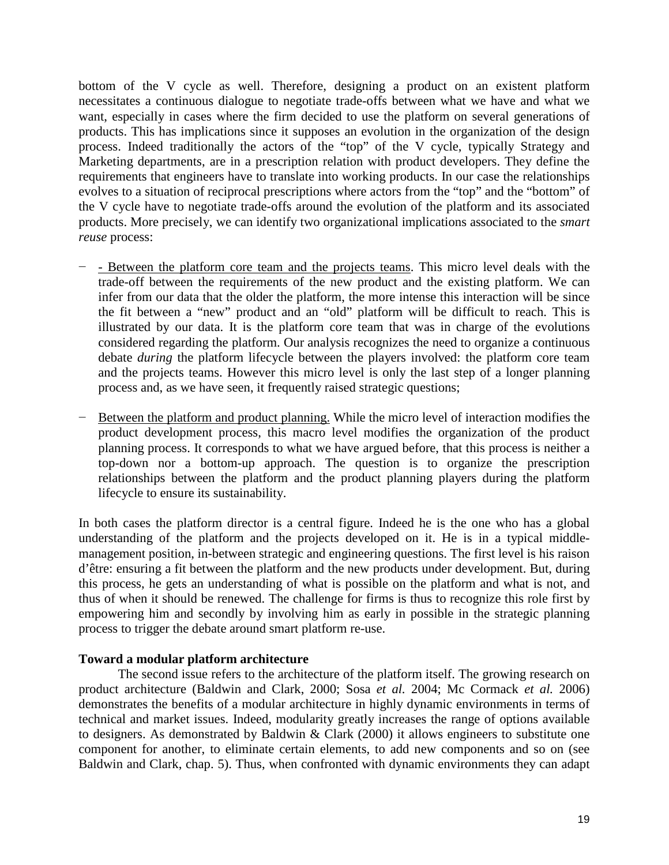bottom of the V cycle as well. Therefore, designing a product on an existent platform necessitates a continuous dialogue to negotiate trade-offs between what we have and what we want, especially in cases where the firm decided to use the platform on several generations of products. This has implications since it supposes an evolution in the organization of the design process. Indeed traditionally the actors of the "top" of the V cycle, typically Strategy and Marketing departments, are in a prescription relation with product developers. They define the requirements that engineers have to translate into working products. In our case the relationships evolves to a situation of reciprocal prescriptions where actors from the "top" and the "bottom" of the V cycle have to negotiate trade-offs around the evolution of the platform and its associated products. More precisely, we can identify two organizational implications associated to the *smart reuse* process:

- − Between the platform core team and the projects teams. This micro level deals with the trade-off between the requirements of the new product and the existing platform. We can infer from our data that the older the platform, the more intense this interaction will be since the fit between a "new" product and an "old" platform will be difficult to reach. This is illustrated by our data. It is the platform core team that was in charge of the evolutions considered regarding the platform. Our analysis recognizes the need to organize a continuous debate *during* the platform lifecycle between the players involved: the platform core team and the projects teams. However this micro level is only the last step of a longer planning process and, as we have seen, it frequently raised strategic questions;
- Between the platform and product planning. While the micro level of interaction modifies the product development process, this macro level modifies the organization of the product planning process. It corresponds to what we have argued before, that this process is neither a top-down nor a bottom-up approach. The question is to organize the prescription relationships between the platform and the product planning players during the platform lifecycle to ensure its sustainability.

In both cases the platform director is a central figure. Indeed he is the one who has a global understanding of the platform and the projects developed on it. He is in a typical middlemanagement position, in-between strategic and engineering questions. The first level is his raison d'être: ensuring a fit between the platform and the new products under development. But, during this process, he gets an understanding of what is possible on the platform and what is not, and thus of when it should be renewed. The challenge for firms is thus to recognize this role first by empowering him and secondly by involving him as early in possible in the strategic planning process to trigger the debate around smart platform re-use.

## **Toward a modular platform architecture**

The second issue refers to the architecture of the platform itself. The growing research on product architecture (Baldwin and Clark, 2000; Sosa *et al.* 2004; Mc Cormack *et al.* 2006) demonstrates the benefits of a modular architecture in highly dynamic environments in terms of technical and market issues. Indeed, modularity greatly increases the range of options available to designers. As demonstrated by Baldwin & Clark (2000) it allows engineers to substitute one component for another, to eliminate certain elements, to add new components and so on (see Baldwin and Clark, chap. 5). Thus, when confronted with dynamic environments they can adapt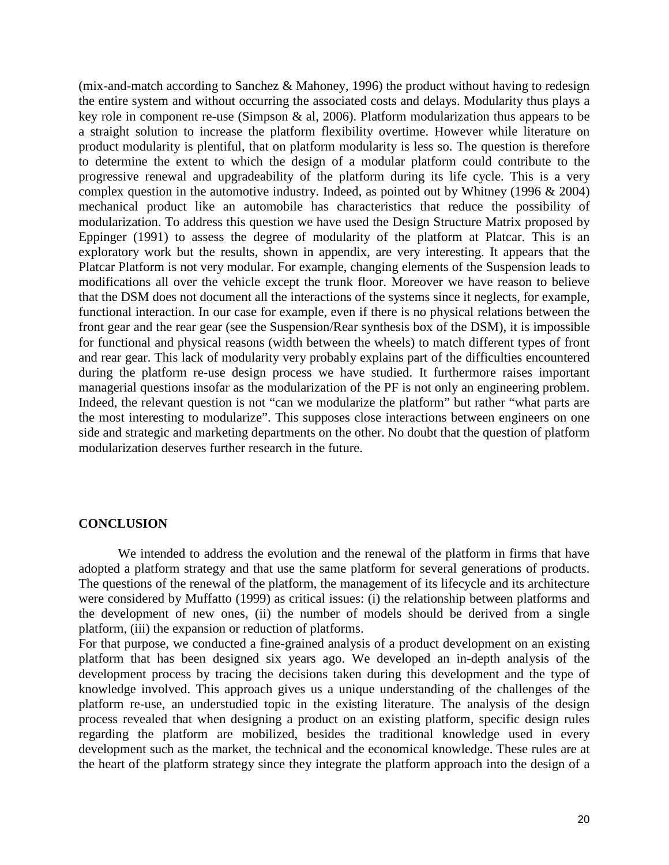(mix-and-match according to Sanchez & Mahoney, 1996) the product without having to redesign the entire system and without occurring the associated costs and delays. Modularity thus plays a key role in component re-use (Simpson & al, 2006). Platform modularization thus appears to be a straight solution to increase the platform flexibility overtime. However while literature on product modularity is plentiful, that on platform modularity is less so. The question is therefore to determine the extent to which the design of a modular platform could contribute to the progressive renewal and upgradeability of the platform during its life cycle. This is a very complex question in the automotive industry. Indeed, as pointed out by Whitney (1996 & 2004) mechanical product like an automobile has characteristics that reduce the possibility of modularization. To address this question we have used the Design Structure Matrix proposed by Eppinger (1991) to assess the degree of modularity of the platform at Platcar. This is an exploratory work but the results, shown in appendix, are very interesting. It appears that the Platcar Platform is not very modular. For example, changing elements of the Suspension leads to modifications all over the vehicle except the trunk floor. Moreover we have reason to believe that the DSM does not document all the interactions of the systems since it neglects, for example, functional interaction. In our case for example, even if there is no physical relations between the front gear and the rear gear (see the Suspension/Rear synthesis box of the DSM), it is impossible for functional and physical reasons (width between the wheels) to match different types of front and rear gear. This lack of modularity very probably explains part of the difficulties encountered during the platform re-use design process we have studied. It furthermore raises important managerial questions insofar as the modularization of the PF is not only an engineering problem. Indeed, the relevant question is not "can we modularize the platform" but rather "what parts are the most interesting to modularize". This supposes close interactions between engineers on one side and strategic and marketing departments on the other. No doubt that the question of platform modularization deserves further research in the future.

#### **CONCLUSION**

We intended to address the evolution and the renewal of the platform in firms that have adopted a platform strategy and that use the same platform for several generations of products. The questions of the renewal of the platform, the management of its lifecycle and its architecture were considered by Muffatto (1999) as critical issues: (i) the relationship between platforms and the development of new ones, (ii) the number of models should be derived from a single platform, (iii) the expansion or reduction of platforms.

For that purpose, we conducted a fine-grained analysis of a product development on an existing platform that has been designed six years ago. We developed an in-depth analysis of the development process by tracing the decisions taken during this development and the type of knowledge involved. This approach gives us a unique understanding of the challenges of the platform re-use, an understudied topic in the existing literature. The analysis of the design process revealed that when designing a product on an existing platform, specific design rules regarding the platform are mobilized, besides the traditional knowledge used in every development such as the market, the technical and the economical knowledge. These rules are at the heart of the platform strategy since they integrate the platform approach into the design of a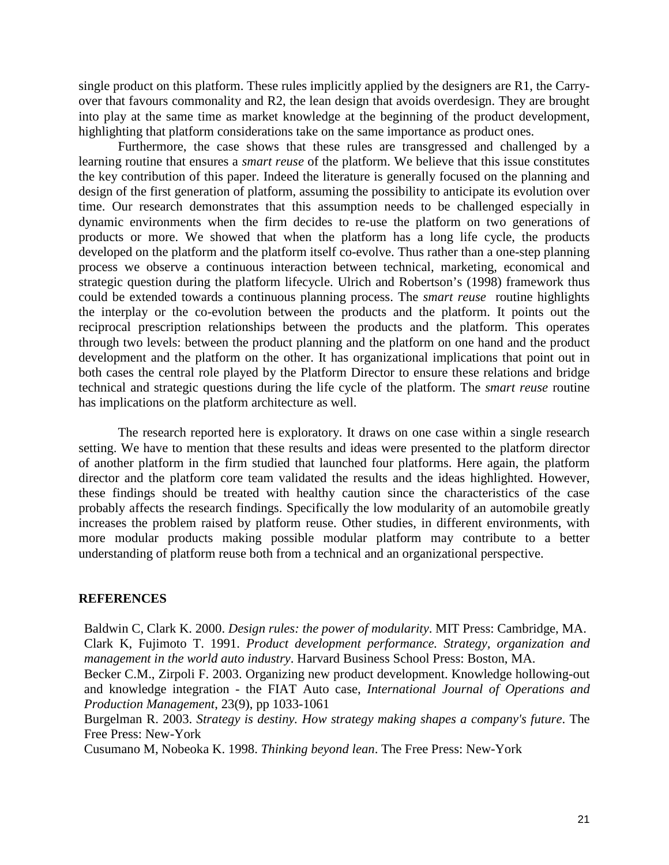single product on this platform. These rules implicitly applied by the designers are R1, the Carryover that favours commonality and R2, the lean design that avoids overdesign. They are brought into play at the same time as market knowledge at the beginning of the product development, highlighting that platform considerations take on the same importance as product ones.

Furthermore, the case shows that these rules are transgressed and challenged by a learning routine that ensures a *smart reuse* of the platform. We believe that this issue constitutes the key contribution of this paper. Indeed the literature is generally focused on the planning and design of the first generation of platform, assuming the possibility to anticipate its evolution over time. Our research demonstrates that this assumption needs to be challenged especially in dynamic environments when the firm decides to re-use the platform on two generations of products or more. We showed that when the platform has a long life cycle, the products developed on the platform and the platform itself co-evolve. Thus rather than a one-step planning process we observe a continuous interaction between technical, marketing, economical and strategic question during the platform lifecycle. Ulrich and Robertson's (1998) framework thus could be extended towards a continuous planning process. The *smart reuse* routine highlights the interplay or the co-evolution between the products and the platform. It points out the reciprocal prescription relationships between the products and the platform. This operates through two levels: between the product planning and the platform on one hand and the product development and the platform on the other. It has organizational implications that point out in both cases the central role played by the Platform Director to ensure these relations and bridge technical and strategic questions during the life cycle of the platform. The *smart reuse* routine has implications on the platform architecture as well.

The research reported here is exploratory. It draws on one case within a single research setting. We have to mention that these results and ideas were presented to the platform director of another platform in the firm studied that launched four platforms. Here again, the platform director and the platform core team validated the results and the ideas highlighted. However, these findings should be treated with healthy caution since the characteristics of the case probably affects the research findings. Specifically the low modularity of an automobile greatly increases the problem raised by platform reuse. Other studies, in different environments, with more modular products making possible modular platform may contribute to a better understanding of platform reuse both from a technical and an organizational perspective.

### **REFERENCES**

Baldwin C, Clark K. 2000. *Design rules: the power of modularity*. MIT Press: Cambridge, MA. Clark K, Fujimoto T. 1991. *Product development performance. Strategy, organization and management in the world auto industry*. Harvard Business School Press: Boston, MA.

Becker C.M., Zirpoli F. 2003. Organizing new product development. Knowledge hollowing-out and knowledge integration - the FIAT Auto case, *International Journal of Operations and Production Management*, 23(9), pp 1033-1061

Burgelman R. 2003. *Strategy is destiny. How strategy making shapes a company's future*. The Free Press: New-York

Cusumano M, Nobeoka K. 1998. *Thinking beyond lean*. The Free Press: New-York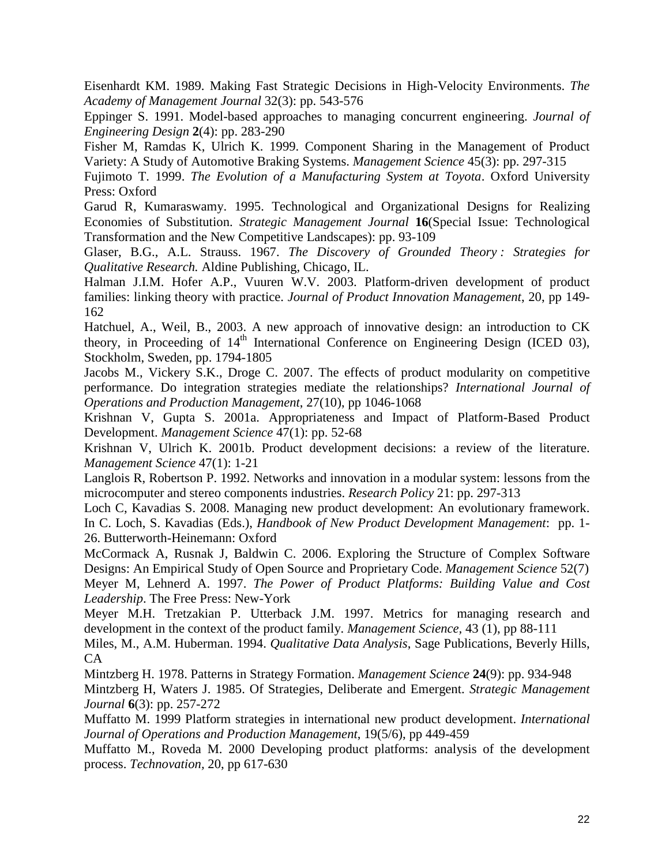Eisenhardt KM. 1989. Making Fast Strategic Decisions in High-Velocity Environments. *The Academy of Management Journal* 32(3): pp. 543-576

Eppinger S. 1991. Model-based approaches to managing concurrent engineering. *Journal of Engineering Design* **2**(4): pp. 283-290

Fisher M, Ramdas K, Ulrich K. 1999. Component Sharing in the Management of Product Variety: A Study of Automotive Braking Systems. *Management Science* 45(3): pp. 297-315

Fujimoto T. 1999. *The Evolution of a Manufacturing System at Toyota*. Oxford University Press: Oxford

Garud R, Kumaraswamy. 1995. Technological and Organizational Designs for Realizing Economies of Substitution. *Strategic Management Journal* **16**(Special Issue: Technological Transformation and the New Competitive Landscapes): pp. 93-109

Glaser, B.G., A.L. Strauss. 1967. *The Discovery of Grounded Theory : Strategies for Qualitative Research.* Aldine Publishing, Chicago, IL.

Halman J.I.M. Hofer A.P., Vuuren W.V. 2003. Platform-driven development of product families: linking theory with practice. *Journal of Product Innovation Management*, 20, pp 149- 162

Hatchuel, A., Weil, B., 2003. A new approach of innovative design: an introduction to CK theory, in Proceeding of  $14<sup>th</sup>$  International Conference on Engineering Design (ICED 03), Stockholm, Sweden, pp. 1794-1805

Jacobs M., Vickery S.K., Droge C. 2007. The effects of product modularity on competitive performance. Do integration strategies mediate the relationships? *International Journal of Operations and Production Management*, 27(10), pp 1046-1068

Krishnan V, Gupta S. 2001a. Appropriateness and Impact of Platform-Based Product Development. *Management Science* 47(1): pp. 52-68

Krishnan V, Ulrich K. 2001b. Product development decisions: a review of the literature. *Management Science* 47(1): 1-21

Langlois R, Robertson P. 1992. Networks and innovation in a modular system: lessons from the microcomputer and stereo components industries. *Research Policy* 21: pp. 297-313

Loch C, Kavadias S. 2008. Managing new product development: An evolutionary framework. In C. Loch, S. Kavadias (Eds.), *Handbook of New Product Development Management*: pp. 1- 26. Butterworth-Heinemann: Oxford

McCormack A, Rusnak J, Baldwin C. 2006. Exploring the Structure of Complex Software Designs: An Empirical Study of Open Source and Proprietary Code. *Management Science* 52(7) Meyer M, Lehnerd A. 1997. *The Power of Product Platforms: Building Value and Cost Leadership*. The Free Press: New-York

Meyer M.H. Tretzakian P. Utterback J.M. 1997. Metrics for managing research and development in the context of the product family. *Management Science,* 43 (1), pp 88-111

Miles, M., A.M. Huberman. 1994. *Qualitative Data Analysis*, Sage Publications, Beverly Hills, CA

Mintzberg H. 1978. Patterns in Strategy Formation. *Management Science* **24**(9): pp. 934-948

Mintzberg H, Waters J. 1985. Of Strategies, Deliberate and Emergent. *Strategic Management Journal* **6**(3): pp. 257-272

Muffatto M. 1999 Platform strategies in international new product development. *International Journal of Operations and Production Management*, 19(5/6), pp 449-459

Muffatto M., Roveda M. 2000 Developing product platforms: analysis of the development process. *Technovation,* 20, pp 617-630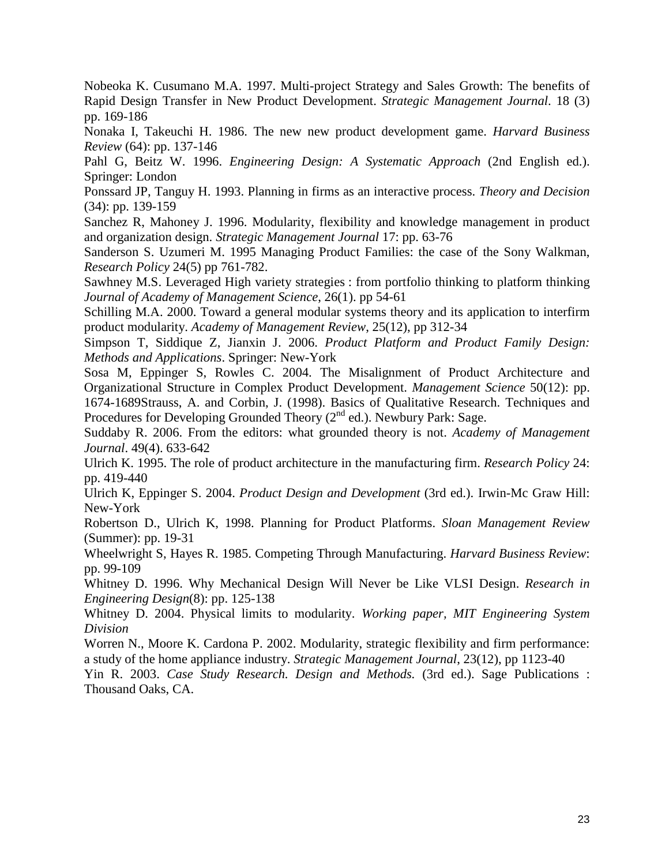Nobeoka K. Cusumano M.A. 1997. Multi-project Strategy and Sales Growth: The benefits of Rapid Design Transfer in New Product Development. *Strategic Management Journal*. 18 (3) pp. 169-186

Nonaka I, Takeuchi H. 1986. The new new product development game. *Harvard Business Review* (64): pp. 137-146

Pahl G, Beitz W. 1996. *Engineering Design: A Systematic Approach* (2nd English ed.). Springer: London

Ponssard JP, Tanguy H. 1993. Planning in firms as an interactive process. *Theory and Decision*  (34): pp. 139-159

Sanchez R, Mahoney J. 1996. Modularity, flexibility and knowledge management in product and organization design. *Strategic Management Journal* 17: pp. 63-76

Sanderson S. Uzumeri M. 1995 Managing Product Families: the case of the Sony Walkman, *Research Policy* 24(5) pp 761-782.

Sawhney M.S. Leveraged High variety strategies : from portfolio thinking to platform thinking *Journal of Academy of Management Science*, 26(1). pp 54-61

Schilling M.A. 2000. Toward a general modular systems theory and its application to interfirm product modularity. *Academy of Management Review*, 25(12), pp 312-34

Simpson T, Siddique Z, Jianxin J. 2006. *Product Platform and Product Family Design: Methods and Applications*. Springer: New-York

Sosa M, Eppinger S, Rowles C. 2004. The Misalignment of Product Architecture and Organizational Structure in Complex Product Development. *Management Science* 50(12): pp. 1674-1689Strauss, A. and Corbin, J. (1998). Basics of Qualitative Research. Techniques and Procedures for Developing Grounded Theory (2<sup>nd</sup> ed.). Newbury Park: Sage.

Suddaby R. 2006. From the editors: what grounded theory is not. *Academy of Management Journal*. 49(4). 633-642

Ulrich K. 1995. The role of product architecture in the manufacturing firm. *Research Policy* 24: pp. 419-440

Ulrich K, Eppinger S. 2004. *Product Design and Development* (3rd ed.). Irwin-Mc Graw Hill: New-York

Robertson D., Ulrich K, 1998. Planning for Product Platforms. *Sloan Management Review* (Summer): pp. 19-31

Wheelwright S, Hayes R. 1985. Competing Through Manufacturing. *Harvard Business Review*: pp. 99-109

Whitney D. 1996. Why Mechanical Design Will Never be Like VLSI Design. *Research in Engineering Design*(8): pp. 125-138

Whitney D. 2004. Physical limits to modularity. *Working paper, MIT Engineering System Division*

Worren N., Moore K. Cardona P. 2002. Modularity, strategic flexibility and firm performance: a study of the home appliance industry. *Strategic Management Journal*, 23(12), pp 1123-40

Yin R. 2003. *Case Study Research. Design and Methods.* (3rd ed.). Sage Publications : Thousand Oaks, CA.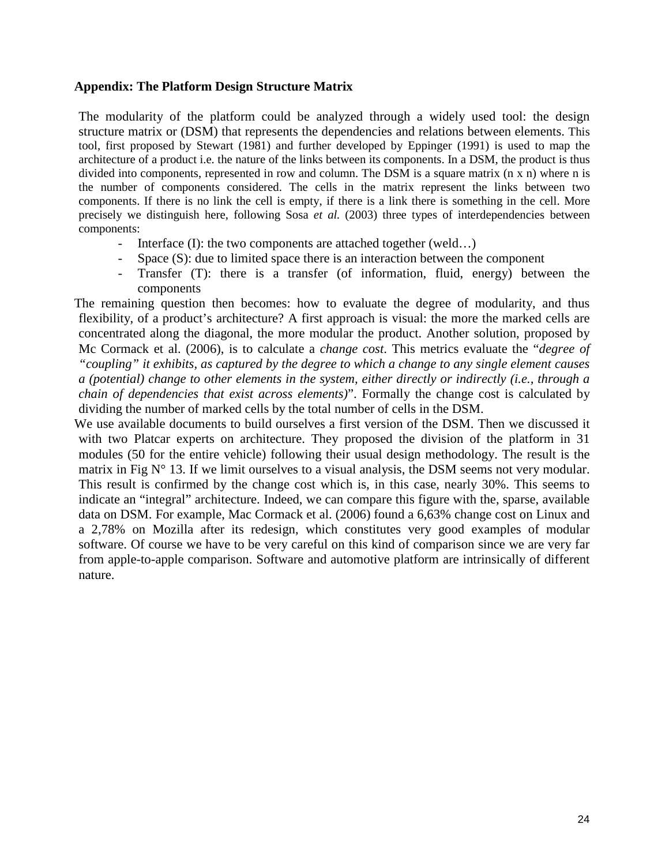## **Appendix: The Platform Design Structure Matrix**

The modularity of the platform could be analyzed through a widely used tool: the design structure matrix or (DSM) that represents the dependencies and relations between elements. This tool, first proposed by Stewart (1981) and further developed by Eppinger (1991) is used to map the architecture of a product i.e. the nature of the links between its components. In a DSM, the product is thus divided into components, represented in row and column. The DSM is a square matrix (n x n) where n is the number of components considered. The cells in the matrix represent the links between two components. If there is no link the cell is empty, if there is a link there is something in the cell. More precisely we distinguish here, following Sosa *et al.* (2003) three types of interdependencies between components:

- Interface (I): the two components are attached together (weld...)
- Space (S): due to limited space there is an interaction between the component
- Transfer (T): there is a transfer (of information, fluid, energy) between the components

The remaining question then becomes: how to evaluate the degree of modularity, and thus flexibility, of a product's architecture? A first approach is visual: the more the marked cells are concentrated along the diagonal, the more modular the product. Another solution, proposed by Mc Cormack et al. (2006), is to calculate a *change cost*. This metrics evaluate the "*degree of "coupling" it exhibits, as captured by the degree to which a change to any single element causes a (potential) change to other elements in the system, either directly or indirectly (i.e., through a chain of dependencies that exist across elements)*". Formally the change cost is calculated by dividing the number of marked cells by the total number of cells in the DSM.

We use available documents to build ourselves a first version of the DSM. Then we discussed it with two Platcar experts on architecture. They proposed the division of the platform in 31 modules (50 for the entire vehicle) following their usual design methodology. The result is the matrix in Fig  $N^{\circ}$  13. If we limit ourselves to a visual analysis, the DSM seems not very modular. This result is confirmed by the change cost which is, in this case, nearly 30%. This seems to indicate an "integral" architecture. Indeed, we can compare this figure with the, sparse, available data on DSM. For example, Mac Cormack et al. (2006) found a 6,63% change cost on Linux and a 2,78% on Mozilla after its redesign, which constitutes very good examples of modular software. Of course we have to be very careful on this kind of comparison since we are very far from apple-to-apple comparison. Software and automotive platform are intrinsically of different nature.